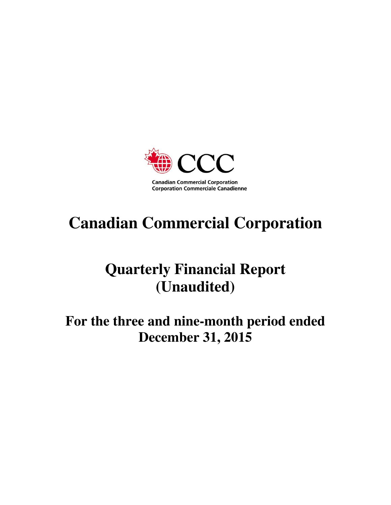

# **Canadian Commercial Corporation**

# **Quarterly Financial Report (Unaudited)**

# **For the three and nine-month period ended December 31, 2015**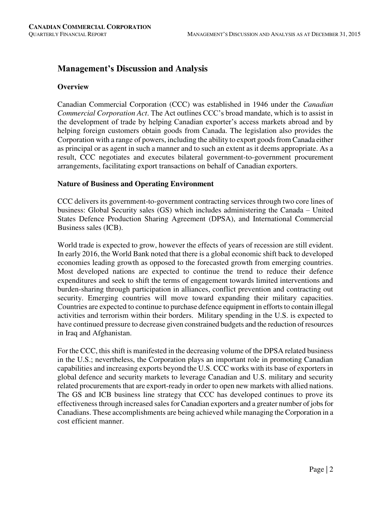# **Management's Discussion and Analysis**

# **Overview**

Canadian Commercial Corporation (CCC) was established in 1946 under the *Canadian Commercial Corporation Act*. The Act outlines CCC's broad mandate, which is to assist in the development of trade by helping Canadian exporter's access markets abroad and by helping foreign customers obtain goods from Canada. The legislation also provides the Corporation with a range of powers, including the ability to export goods from Canada either as principal or as agent in such a manner and to such an extent as it deems appropriate. As a result, CCC negotiates and executes bilateral government-to-government procurement arrangements, facilitating export transactions on behalf of Canadian exporters.

# **Nature of Business and Operating Environment**

CCC delivers its government-to-government contracting services through two core lines of business: Global Security sales (GS) which includes administering the Canada – United States Defence Production Sharing Agreement (DPSA), and International Commercial Business sales (ICB).

World trade is expected to grow, however the effects of years of recession are still evident. In early 2016, the World Bank noted that there is a global economic shift back to developed economies leading growth as opposed to the forecasted growth from emerging countries. Most developed nations are expected to continue the trend to reduce their defence expenditures and seek to shift the terms of engagement towards limited interventions and burden-sharing through participation in alliances, conflict prevention and contracting out security. Emerging countries will move toward expanding their military capacities. Countries are expected to continue to purchase defence equipment in efforts to contain illegal activities and terrorism within their borders. Military spending in the U.S. is expected to have continued pressure to decrease given constrained budgets and the reduction of resources in Iraq and Afghanistan.

For the CCC, this shift is manifested in the decreasing volume of the DPSA related business in the U.S.; nevertheless, the Corporation plays an important role in promoting Canadian capabilities and increasing exports beyond the U.S. CCC works with its base of exporters in global defence and security markets to leverage Canadian and U.S. military and security related procurements that are export-ready in order to open new markets with allied nations. The GS and ICB business line strategy that CCC has developed continues to prove its effectiveness through increased sales for Canadian exporters and a greater number of jobs for Canadians. These accomplishments are being achieved while managing the Corporation in a cost efficient manner.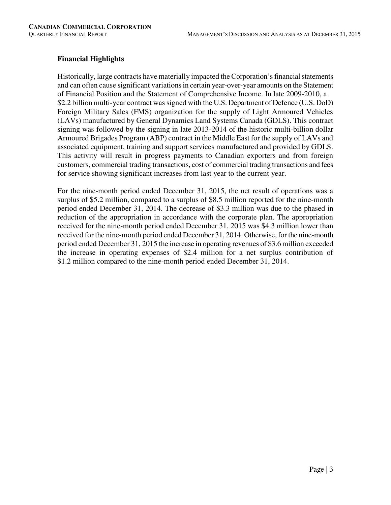# **Financial Highlights**

Historically, large contracts have materially impacted the Corporation's financial statements and can often cause significant variations in certain year-over-year amounts on the Statement of Financial Position and the Statement of Comprehensive Income. In late 2009-2010, a \$2.2 billion multi-year contract was signed with the U.S. Department of Defence (U.S. DoD) Foreign Military Sales (FMS) organization for the supply of Light Armoured Vehicles (LAVs) manufactured by General Dynamics Land Systems Canada (GDLS). This contract signing was followed by the signing in late 2013-2014 of the historic multi-billion dollar Armoured Brigades Program (ABP) contract in the Middle East for the supply of LAVs and associated equipment, training and support services manufactured and provided by GDLS. This activity will result in progress payments to Canadian exporters and from foreign customers, commercial trading transactions, cost of commercial trading transactions and fees for service showing significant increases from last year to the current year.

For the nine-month period ended December 31, 2015, the net result of operations was a surplus of \$5.2 million, compared to a surplus of \$8.5 million reported for the nine-month period ended December 31, 2014. The decrease of \$3.3 million was due to the phased in reduction of the appropriation in accordance with the corporate plan. The appropriation received for the nine-month period ended December 31, 2015 was \$4.3 million lower than received for the nine-month period ended December 31, 2014. Otherwise, for the nine-month period ended December 31, 2015 the increase in operating revenues of \$3.6 million exceeded the increase in operating expenses of \$2.4 million for a net surplus contribution of \$1.2 million compared to the nine-month period ended December 31, 2014.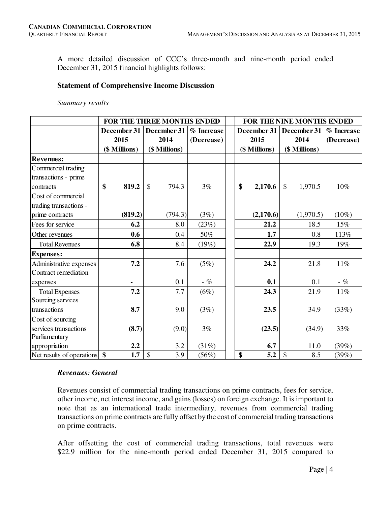A more detailed discussion of CCC's three-month and nine-month period ended December 31, 2015 financial highlights follows:

#### **Statement of Comprehensive Income Discussion**

#### *Summary results*

|                           | FOR THE THREE MONTHS ENDED       | FOR THE NINE MONTHS ENDED          |            |  |               |             |               |           |            |
|---------------------------|----------------------------------|------------------------------------|------------|--|---------------|-------------|---------------|-----------|------------|
|                           | December 31                      | December 31                        | % Increase |  |               | December 31 | December 31   |           | % Increase |
|                           | 2015                             | 2014                               | (Decrease) |  |               | 2015        | 2014          |           | (Decrease) |
|                           | (\$ Millions)                    | (\$ Millions)                      |            |  | (\$ Millions) |             | (\$ Millions) |           |            |
| <b>Revenues:</b>          |                                  |                                    |            |  |               |             |               |           |            |
| Commercial trading        |                                  |                                    |            |  |               |             |               |           |            |
| transactions - prime      |                                  |                                    |            |  |               |             |               |           |            |
| contracts                 | \$<br>819.2                      | $\boldsymbol{\mathsf{S}}$<br>794.3 | 3%         |  | \$            | 2,170.6     | \$            | 1,970.5   | $10\%$     |
| Cost of commercial        |                                  |                                    |            |  |               |             |               |           |            |
| trading transactions -    |                                  |                                    |            |  |               |             |               |           |            |
| prime contracts           | (819.2)                          | (794.3)                            | (3%)       |  |               | (2,170.6)   |               | (1,970.5) | $(10\%)$   |
| Fees for service          | 6.2                              | 8.0                                | (23%)      |  |               | 21.2        |               | 18.5      | 15%        |
| Other revenues            | 0.6                              | 0.4                                | 50%        |  |               | 1.7         |               | 0.8       | 113%       |
| <b>Total Revenues</b>     | 6.8                              | 8.4                                | (19%)      |  |               | 22.9        |               | 19.3      | 19%        |
| <b>Expenses:</b>          |                                  |                                    |            |  |               |             |               |           |            |
| Administrative expenses   | 7.2                              | 7.6                                | (5%)       |  |               | 24.2        |               | 21.8      | $11\%$     |
| Contract remediation      |                                  |                                    |            |  |               |             |               |           |            |
| expenses                  |                                  | 0.1                                | - %        |  |               | 0.1         |               | 0.1       | - %        |
| <b>Total Expenses</b>     | 7.2                              | 7.7                                | (6%)       |  |               | 24.3        |               | 21.9      | 11%        |
| Sourcing services         |                                  |                                    |            |  |               |             |               |           |            |
| transactions              | 8.7                              | 9.0                                | (3%)       |  |               | 23.5        |               | 34.9      | (33%)      |
| Cost of sourcing          |                                  |                                    |            |  |               |             |               |           |            |
| services transactions     | (8.7)                            | (9.0)                              | 3%         |  |               | (23.5)      |               | (34.9)    | 33%        |
| Parliamentary             |                                  |                                    |            |  |               |             |               |           |            |
| appropriation             | 2.2                              | 3.2                                | (31%)      |  |               | 6.7         |               | 11.0      | (39%)      |
| Net results of operations | $\boldsymbol{\mathsf{s}}$<br>1.7 | $\boldsymbol{\mathsf{S}}$<br>3.9   | (56%)      |  | \$            | 5.2         | \$            | 8.5       | (39%)      |

#### *Revenues: General*

Revenues consist of commercial trading transactions on prime contracts, fees for service, other income, net interest income, and gains (losses) on foreign exchange. It is important to note that as an international trade intermediary, revenues from commercial trading transactions on prime contracts are fully offset by the cost of commercial trading transactions on prime contracts.

After offsetting the cost of commercial trading transactions, total revenues were \$22.9 million for the nine-month period ended December 31, 2015 compared to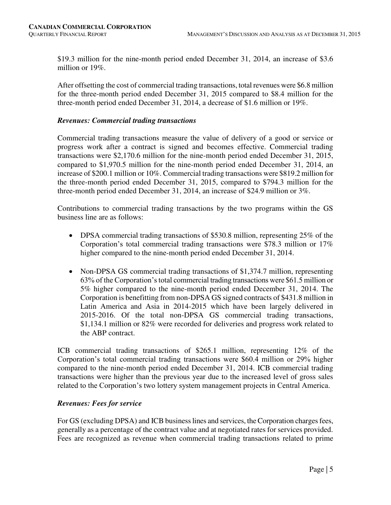\$19.3 million for the nine-month period ended December 31, 2014, an increase of \$3.6 million or 19%.

After offsetting the cost of commercial trading transactions, total revenues were \$6.8 million for the three-month period ended December 31, 2015 compared to \$8.4 million for the three-month period ended December 31, 2014, a decrease of \$1.6 million or 19%.

# *Revenues: Commercial trading transactions*

Commercial trading transactions measure the value of delivery of a good or service or progress work after a contract is signed and becomes effective. Commercial trading transactions were \$2,170.6 million for the nine-month period ended December 31, 2015, compared to \$1,970.5 million for the nine-month period ended December 31, 2014, an increase of \$200.1 million or 10%. Commercial trading transactions were \$819.2 million for the three-month period ended December 31, 2015, compared to \$794.3 million for the three-month period ended December 31, 2014, an increase of \$24.9 million or 3%.

Contributions to commercial trading transactions by the two programs within the GS business line are as follows:

- DPSA commercial trading transactions of \$530.8 million, representing 25% of the Corporation's total commercial trading transactions were \$78.3 million or 17% higher compared to the nine-month period ended December 31, 2014.
- Non-DPSA GS commercial trading transactions of \$1,374.7 million, representing 63% of the Corporation's total commercial trading transactions were \$61.5 million or 5% higher compared to the nine-month period ended December 31, 2014. The Corporation is benefitting from non-DPSA GS signed contracts of \$431.8 million in Latin America and Asia in 2014-2015 which have been largely delivered in 2015-2016. Of the total non-DPSA GS commercial trading transactions, \$1,134.1 million or 82% were recorded for deliveries and progress work related to the ABP contract.

ICB commercial trading transactions of \$265.1 million, representing 12% of the Corporation's total commercial trading transactions were \$60.4 million or 29% higher compared to the nine-month period ended December 31, 2014. ICB commercial trading transactions were higher than the previous year due to the increased level of gross sales related to the Corporation's two lottery system management projects in Central America.

# *Revenues: Fees for service*

For GS (excluding DPSA) and ICB business lines and services, the Corporation charges fees, generally as a percentage of the contract value and at negotiated rates for services provided. Fees are recognized as revenue when commercial trading transactions related to prime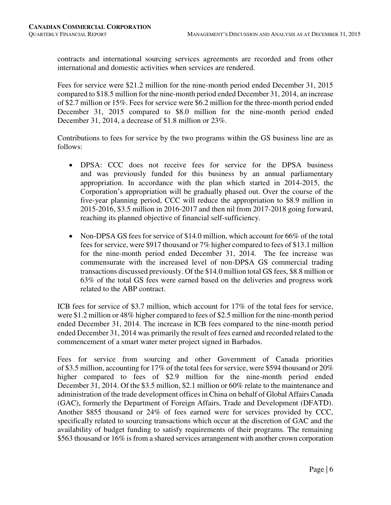contracts and international sourcing services agreements are recorded and from other international and domestic activities when services are rendered.

Fees for service were \$21.2 million for the nine-month period ended December 31, 2015 compared to \$18.5 million for the nine-month period ended December 31, 2014, an increase of \$2.7 million or 15%. Fees for service were \$6.2 million for the three-month period ended December 31, 2015 compared to \$8.0 million for the nine-month period ended December 31, 2014, a decrease of \$1.8 million or 23%.

Contributions to fees for service by the two programs within the GS business line are as follows:

- DPSA: CCC does not receive fees for service for the DPSA business and was previously funded for this business by an annual parliamentary appropriation. In accordance with the plan which started in 2014-2015, the Corporation's appropriation will be gradually phased out. Over the course of the five-year planning period, CCC will reduce the appropriation to \$8.9 million in 2015-2016, \$3.5 million in 2016-2017 and then nil from 2017-2018 going forward, reaching its planned objective of financial self-sufficiency.
- Non-DPSA GS fees for service of \$14.0 million, which account for 66% of the total fees for service, were \$917 thousand or 7% higher compared to fees of \$13.1 million for the nine-month period ended December 31, 2014. The fee increase was commensurate with the increased level of non-DPSA GS commercial trading transactions discussed previously. Of the \$14.0 million total GS fees, \$8.8 million or 63% of the total GS fees were earned based on the deliveries and progress work related to the ABP contract.

ICB fees for service of \$3.7 million, which account for 17% of the total fees for service, were \$1.2 million or 48% higher compared to fees of \$2.5 million for the nine-month period ended December 31, 2014. The increase in ICB fees compared to the nine-month period ended December 31, 2014 was primarily the result of fees earned and recorded related to the commencement of a smart water meter project signed in Barbados.

Fees for service from sourcing and other Government of Canada priorities of \$3.5 million, accounting for 17% of the total fees for service, were \$594 thousand or 20% higher compared to fees of \$2.9 million for the nine-month period ended December 31, 2014. Of the \$3.5 million, \$2.1 million or 60% relate to the maintenance and administration of the trade development offices in China on behalf of Global Affairs Canada (GAC), formerly the Department of Foreign Affairs, Trade and Development (DFATD). Another \$855 thousand or 24% of fees earned were for services provided by CCC, specifically related to sourcing transactions which occur at the discretion of GAC and the availability of budget funding to satisfy requirements of their programs. The remaining \$563 thousand or 16% is from a shared services arrangement with another crown corporation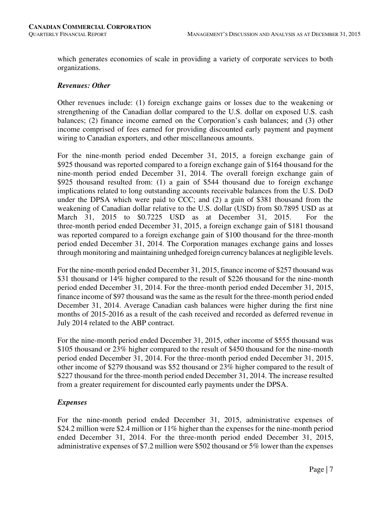which generates economies of scale in providing a variety of corporate services to both organizations.

### *Revenues: Other*

Other revenues include: (1) foreign exchange gains or losses due to the weakening or strengthening of the Canadian dollar compared to the U.S. dollar on exposed U.S. cash balances; (2) finance income earned on the Corporation's cash balances; and (3) other income comprised of fees earned for providing discounted early payment and payment wiring to Canadian exporters, and other miscellaneous amounts.

For the nine-month period ended December 31, 2015, a foreign exchange gain of \$925 thousand was reported compared to a foreign exchange gain of \$164 thousand for the nine-month period ended December 31, 2014. The overall foreign exchange gain of \$925 thousand resulted from: (1) a gain of \$544 thousand due to foreign exchange implications related to long outstanding accounts receivable balances from the U.S. DoD under the DPSA which were paid to CCC; and (2) a gain of \$381 thousand from the weakening of Canadian dollar relative to the U.S. dollar (USD) from \$0.7895 USD as at March 31, 2015 to \$0.7225 USD as at December 31, 2015. For the three-month period ended December 31, 2015, a foreign exchange gain of \$181 thousand was reported compared to a foreign exchange gain of \$100 thousand for the three-month period ended December 31, 2014. The Corporation manages exchange gains and losses through monitoring and maintaining unhedged foreign currency balances at negligible levels.

For the nine-month period ended December 31, 2015, finance income of \$257 thousand was \$31 thousand or 14% higher compared to the result of \$226 thousand for the nine-month period ended December 31, 2014. For the three-month period ended December 31, 2015, finance income of \$97 thousand was the same as the result for the three-month period ended December 31, 2014. Average Canadian cash balances were higher during the first nine months of 2015-2016 as a result of the cash received and recorded as deferred revenue in July 2014 related to the ABP contract.

For the nine-month period ended December 31, 2015, other income of \$555 thousand was \$105 thousand or 23% higher compared to the result of \$450 thousand for the nine-month period ended December 31, 2014. For the three-month period ended December 31, 2015, other income of \$279 thousand was \$52 thousand or 23% higher compared to the result of \$227 thousand for the three-month period ended December 31, 2014. The increase resulted from a greater requirement for discounted early payments under the DPSA.

# *Expenses*

For the nine-month period ended December 31, 2015, administrative expenses of \$24.2 million were \$2.4 million or 11% higher than the expenses for the nine-month period ended December 31, 2014. For the three-month period ended December 31, 2015, administrative expenses of \$7.2 million were \$502 thousand or 5% lower than the expenses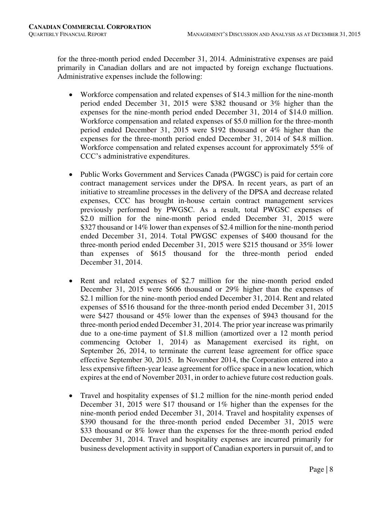for the three-month period ended December 31, 2014. Administrative expenses are paid primarily in Canadian dollars and are not impacted by foreign exchange fluctuations. Administrative expenses include the following:

- Workforce compensation and related expenses of \$14.3 million for the nine-month period ended December 31, 2015 were \$382 thousand or 3% higher than the expenses for the nine-month period ended December 31, 2014 of \$14.0 million. Workforce compensation and related expenses of \$5.0 million for the three-month period ended December 31, 2015 were \$192 thousand or 4% higher than the expenses for the three-month period ended December 31, 2014 of \$4.8 million. Workforce compensation and related expenses account for approximately 55% of CCC's administrative expenditures.
- Public Works Government and Services Canada (PWGSC) is paid for certain core contract management services under the DPSA. In recent years, as part of an initiative to streamline processes in the delivery of the DPSA and decrease related expenses, CCC has brought in-house certain contract management services previously performed by PWGSC. As a result, total PWGSC expenses of \$2.0 million for the nine-month period ended December 31, 2015 were \$327 thousand or 14% lower than expenses of \$2.4 million for the nine-month period ended December 31, 2014. Total PWGSC expenses of \$400 thousand for the three-month period ended December 31, 2015 were \$215 thousand or 35% lower than expenses of \$615 thousand for the three-month period ended December 31, 2014.
- Rent and related expenses of \$2.7 million for the nine-month period ended December 31, 2015 were \$606 thousand or 29% higher than the expenses of \$2.1 million for the nine-month period ended December 31, 2014. Rent and related expenses of \$516 thousand for the three-month period ended December 31, 2015 were \$427 thousand or 45% lower than the expenses of \$943 thousand for the three-month period ended December 31, 2014. The prior year increase was primarily due to a one-time payment of \$1.8 million (amortized over a 12 month period commencing October 1, 2014) as Management exercised its right, on September 26, 2014, to terminate the current lease agreement for office space effective September 30, 2015. In November 2014, the Corporation entered into a less expensive fifteen-year lease agreement for office space in a new location, which expires at the end of November 2031, in order to achieve future cost reduction goals.
- Travel and hospitality expenses of \$1.2 million for the nine-month period ended December 31, 2015 were \$17 thousand or 1% higher than the expenses for the nine-month period ended December 31, 2014. Travel and hospitality expenses of \$390 thousand for the three-month period ended December 31, 2015 were \$33 thousand or 8% lower than the expenses for the three-month period ended December 31, 2014. Travel and hospitality expenses are incurred primarily for business development activity in support of Canadian exporters in pursuit of, and to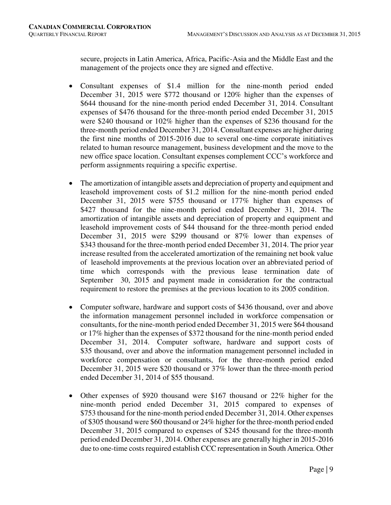secure, projects in Latin America, Africa, Pacific-Asia and the Middle East and the management of the projects once they are signed and effective.

- Consultant expenses of \$1.4 million for the nine-month period ended December 31, 2015 were \$772 thousand or 120% higher than the expenses of \$644 thousand for the nine-month period ended December 31, 2014. Consultant expenses of \$476 thousand for the three-month period ended December 31, 2015 were \$240 thousand or 102% higher than the expenses of \$236 thousand for the three-month period ended December 31, 2014. Consultant expenses are higher during the first nine months of 2015-2016 due to several one-time corporate initiatives related to human resource management, business development and the move to the new office space location. Consultant expenses complement CCC's workforce and perform assignments requiring a specific expertise.
- The amortization of intangible assets and depreciation of property and equipment and leasehold improvement costs of \$1.2 million for the nine-month period ended December 31, 2015 were \$755 thousand or 177% higher than expenses of \$427 thousand for the nine-month period ended December 31, 2014. The amortization of intangible assets and depreciation of property and equipment and leasehold improvement costs of \$44 thousand for the three-month period ended December 31, 2015 were \$299 thousand or 87% lower than expenses of \$343 thousand for the three-month period ended December 31, 2014. The prior year increase resulted from the accelerated amortization of the remaining net book value of leasehold improvements at the previous location over an abbreviated period of time which corresponds with the previous lease termination date of September 30, 2015 and payment made in consideration for the contractual requirement to restore the premises at the previous location to its 2005 condition.
- Computer software, hardware and support costs of \$436 thousand, over and above the information management personnel included in workforce compensation or consultants, for the nine-month period ended December 31, 2015 were \$64 thousand or 17% higher than the expenses of \$372 thousand for the nine-month period ended December 31, 2014. Computer software, hardware and support costs of \$35 thousand, over and above the information management personnel included in workforce compensation or consultants, for the three-month period ended December 31, 2015 were \$20 thousand or 37% lower than the three-month period ended December 31, 2014 of \$55 thousand.
- Other expenses of \$920 thousand were \$167 thousand or 22% higher for the nine-month period ended December 31, 2015 compared to expenses of \$753 thousand for the nine-month period ended December 31, 2014. Other expenses of \$305 thousand were \$60 thousand or 24% higher for the three-month period ended December 31, 2015 compared to expenses of \$245 thousand for the three-month period ended December 31, 2014. Other expenses are generally higher in 2015-2016 due to one-time costs required establish CCC representation in South America. Other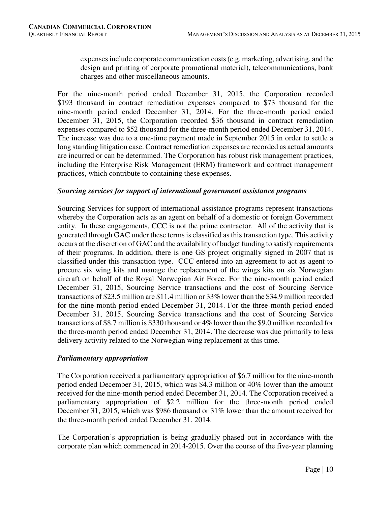expenses include corporate communication costs (e.g. marketing, advertising, and the design and printing of corporate promotional material), telecommunications, bank charges and other miscellaneous amounts.

For the nine-month period ended December 31, 2015, the Corporation recorded \$193 thousand in contract remediation expenses compared to \$73 thousand for the nine-month period ended December 31, 2014. For the three-month period ended December 31, 2015, the Corporation recorded \$36 thousand in contract remediation expenses compared to \$52 thousand for the three-month period ended December 31, 2014. The increase was due to a one-time payment made in September 2015 in order to settle a long standing litigation case. Contract remediation expenses are recorded as actual amounts are incurred or can be determined. The Corporation has robust risk management practices, including the Enterprise Risk Management (ERM) framework and contract management practices, which contribute to containing these expenses.

# *Sourcing services for support of international government assistance programs*

Sourcing Services for support of international assistance programs represent transactions whereby the Corporation acts as an agent on behalf of a domestic or foreign Government entity. In these engagements, CCC is not the prime contractor. All of the activity that is generated through GAC under these terms is classified as this transaction type. This activity occurs at the discretion of GAC and the availability of budget funding to satisfy requirements of their programs. In addition, there is one GS project originally signed in 2007 that is classified under this transaction type. CCC entered into an agreement to act as agent to procure six wing kits and manage the replacement of the wings kits on six Norwegian aircraft on behalf of the Royal Norwegian Air Force. For the nine-month period ended December 31, 2015, Sourcing Service transactions and the cost of Sourcing Service transactions of \$23.5 million are \$11.4 million or 33% lower than the \$34.9 million recorded for the nine-month period ended December 31, 2014. For the three-month period ended December 31, 2015, Sourcing Service transactions and the cost of Sourcing Service transactions of \$8.7 million is \$330 thousand or 4% lower than the \$9.0 million recorded for the three-month period ended December 31, 2014. The decrease was due primarily to less delivery activity related to the Norwegian wing replacement at this time.

# *Parliamentary appropriation*

The Corporation received a parliamentary appropriation of \$6.7 million for the nine-month period ended December 31, 2015, which was \$4.3 million or 40% lower than the amount received for the nine-month period ended December 31, 2014. The Corporation received a parliamentary appropriation of \$2.2 million for the three-month period ended December 31, 2015, which was \$986 thousand or 31% lower than the amount received for the three-month period ended December 31, 2014.

The Corporation's appropriation is being gradually phased out in accordance with the corporate plan which commenced in 2014-2015. Over the course of the five-year planning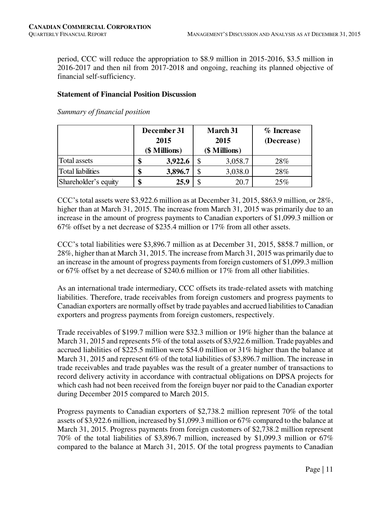period, CCC will reduce the appropriation to \$8.9 million in 2015-2016, \$3.5 million in 2016-2017 and then nil from 2017-2018 and ongoing, reaching its planned objective of financial self-sufficiency.

#### **Statement of Financial Position Discussion**

*Summary of financial position* 

|                          |      | December 31   | <b>March 31</b> | % Increase |  |  |  |  |  |
|--------------------------|------|---------------|-----------------|------------|--|--|--|--|--|
|                          | 2015 |               | 2015            | (Decrease) |  |  |  |  |  |
|                          |      | (\$ Millions) | (\$ Millions)   |            |  |  |  |  |  |
| Total assets             |      | 3,922.6       | 3,058.7         | 28%        |  |  |  |  |  |
| <b>Total liabilities</b> | Φ    | 3,896.7       | 3,038.0         | 28%        |  |  |  |  |  |
| Shareholder's equity     |      | 25.9          | 20.7            | 25%        |  |  |  |  |  |

CCC's total assets were \$3,922.6 million as at December 31, 2015, \$863.9 million, or  $28\%$ , higher than at March 31, 2015. The increase from March 31, 2015 was primarily due to an increase in the amount of progress payments to Canadian exporters of \$1,099.3 million or 67% offset by a net decrease of \$235.4 million or 17% from all other assets.

CCC's total liabilities were \$3,896.7 million as at December 31, 2015, \$858.7 million, or 28%, higher than at March 31, 2015. The increase from March 31, 2015 was primarily due to an increase in the amount of progress payments from foreign customers of \$1,099.3 million or 67% offset by a net decrease of \$240.6 million or 17% from all other liabilities.

As an international trade intermediary, CCC offsets its trade-related assets with matching liabilities. Therefore, trade receivables from foreign customers and progress payments to Canadian exporters are normally offset by trade payables and accrued liabilities to Canadian exporters and progress payments from foreign customers, respectively.

Trade receivables of \$199.7 million were \$32.3 million or 19% higher than the balance at March 31, 2015 and represents 5% of the total assets of \$3,922.6 million. Trade payables and accrued liabilities of \$225.5 million were \$54.0 million or 31% higher than the balance at March 31, 2015 and represent 6% of the total liabilities of \$3,896.7 million. The increase in trade receivables and trade payables was the result of a greater number of transactions to record delivery activity in accordance with contractual obligations on DPSA projects for which cash had not been received from the foreign buyer nor paid to the Canadian exporter during December 2015 compared to March 2015.

Progress payments to Canadian exporters of \$2,738.2 million represent 70% of the total assets of \$3,922.6 million, increased by \$1,099.3 million or 67% compared to the balance at March 31, 2015. Progress payments from foreign customers of \$2,738.2 million represent 70% of the total liabilities of \$3,896.7 million, increased by \$1,099.3 million or 67% compared to the balance at March 31, 2015. Of the total progress payments to Canadian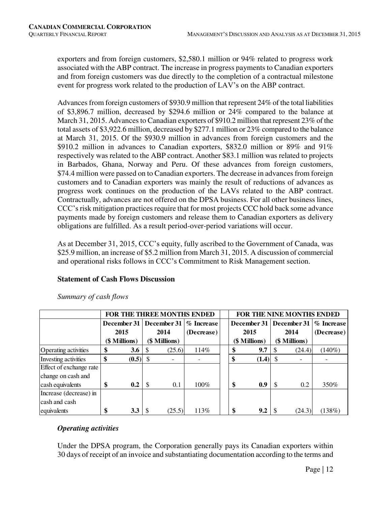exporters and from foreign customers, \$2,580.1 million or 94% related to progress work associated with the ABP contract. The increase in progress payments to Canadian exporters and from foreign customers was due directly to the completion of a contractual milestone event for progress work related to the production of LAV's on the ABP contract.

Advances from foreign customers of \$930.9 million that represent 24% of the total liabilities of \$3,896.7 million, decreased by \$294.6 million or 24% compared to the balance at March 31, 2015. Advances to Canadian exporters of \$910.2 million that represent 23% of the total assets of \$3,922.6 million, decreased by \$277.1 million or 23% compared to the balance at March 31, 2015. Of the \$930.9 million in advances from foreign customers and the \$910.2 million in advances to Canadian exporters, \$832.0 million or 89% and 91% respectively was related to the ABP contract. Another \$83.1 million was related to projects in Barbados, Ghana, Norway and Peru. Of these advances from foreign customers, \$74.4 million were passed on to Canadian exporters. The decrease in advances from foreign customers and to Canadian exporters was mainly the result of reductions of advances as progress work continues on the production of the LAVs related to the ABP contract. Contractually, advances are not offered on the DPSA business. For all other business lines, CCC's risk mitigation practices require that for most projects CCC hold back some advance payments made by foreign customers and release them to Canadian exporters as delivery obligations are fulfilled. As a result period-over-period variations will occur.

As at December 31, 2015, CCC's equity, fully ascribed to the Government of Canada, was \$25.9 million, an increase of \$5.2 million from March 31, 2015. A discussion of commercial and operational risks follows in CCC's Commitment to Risk Management section.

# **Statement of Cash Flows Discussion**

|                         |                  |     |                              | FOR THE THREE MONTHS ENDED | FOR THE NINE MONTHS ENDED |               |    |               |                                        |  |  |
|-------------------------|------------------|-----|------------------------------|----------------------------|---------------------------|---------------|----|---------------|----------------------------------------|--|--|
|                         | December 31      |     | December 31<br>$\%$ Increase |                            |                           |               |    |               | December 31   December 31   % Increase |  |  |
|                         | 2015             |     | 2014                         | (Decrease)                 |                           | 2015          |    | 2014          | (Decrease)                             |  |  |
|                         | (\$ Millions)    |     | (\$ Millions)                |                            |                           | (\$ Millions) |    | (\$ Millions) |                                        |  |  |
| Operating activities    | \$<br>3.6        | -S  | (25.6)                       | 114%                       |                           | 9.7           | S  | (24.4)        | $(140\%)$                              |  |  |
| Investing activities    | \$<br>$(0.5)$ \$ |     |                              |                            |                           | (1.4)         | -S |               |                                        |  |  |
| Effect of exchange rate |                  |     |                              |                            |                           |               |    |               |                                        |  |  |
| change on cash and      |                  |     |                              |                            |                           |               |    |               |                                        |  |  |
| cash equivalents        | \$<br>0.2        | -\$ | 0.1                          | 100%                       |                           | 0.9           | \$ | 0.2           | 350%                                   |  |  |
| Increase (decrease) in  |                  |     |                              |                            |                           |               |    |               |                                        |  |  |
| cash and cash           |                  |     |                              |                            |                           |               |    |               |                                        |  |  |
| equivalents             | \$<br>3.3        |     | (25.5)                       | 113%                       |                           | 9.2           |    | (24.3)        | (138%)                                 |  |  |

*Summary of cash flows* 

# *Operating activities*

Under the DPSA program, the Corporation generally pays its Canadian exporters within 30 days of receipt of an invoice and substantiating documentation according to the terms and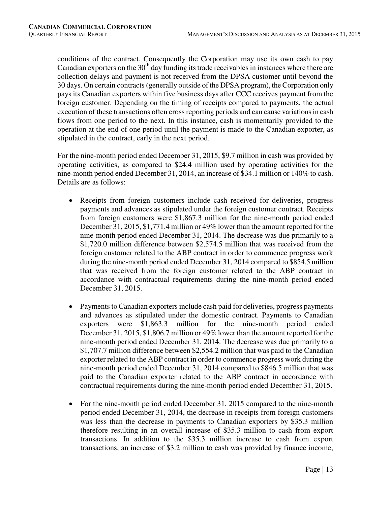conditions of the contract. Consequently the Corporation may use its own cash to pay Canadian exporters on the  $30<sup>th</sup>$  day funding its trade receivables in instances where there are collection delays and payment is not received from the DPSA customer until beyond the 30 days. On certain contracts (generally outside of the DPSA program), the Corporation only pays its Canadian exporters within five business days after CCC receives payment from the foreign customer. Depending on the timing of receipts compared to payments, the actual execution of these transactions often cross reporting periods and can cause variations in cash flows from one period to the next. In this instance, cash is momentarily provided to the operation at the end of one period until the payment is made to the Canadian exporter, as stipulated in the contract, early in the next period.

For the nine-month period ended December 31, 2015, \$9.7 million in cash was provided by operating activities, as compared to \$24.4 million used by operating activities for the nine-month period ended December 31, 2014, an increase of \$34.1 million or 140% to cash. Details are as follows:

- Receipts from foreign customers include cash received for deliveries, progress payments and advances as stipulated under the foreign customer contract. Receipts from foreign customers were \$1,867.3 million for the nine-month period ended December 31, 2015, \$1,771.4 million or 49% lower than the amount reported for the nine-month period ended December 31, 2014. The decrease was due primarily to a \$1,720.0 million difference between \$2,574.5 million that was received from the foreign customer related to the ABP contract in order to commence progress work during the nine-month period ended December 31, 2014 compared to \$854.5 million that was received from the foreign customer related to the ABP contract in accordance with contractual requirements during the nine-month period ended December 31, 2015.
- Payments to Canadian exporters include cash paid for deliveries, progress payments and advances as stipulated under the domestic contract. Payments to Canadian exporters were \$1,863.3 million for the nine-month period ended December 31, 2015, \$1,806.7 million or 49% lower than the amount reported for the nine-month period ended December 31, 2014. The decrease was due primarily to a \$1,707.7 million difference between \$2,554.2 million that was paid to the Canadian exporter related to the ABP contract in order to commence progress work during the nine-month period ended December 31, 2014 compared to \$846.5 million that was paid to the Canadian exporter related to the ABP contract in accordance with contractual requirements during the nine-month period ended December 31, 2015.
- For the nine-month period ended December 31, 2015 compared to the nine-month period ended December 31, 2014, the decrease in receipts from foreign customers was less than the decrease in payments to Canadian exporters by \$35.3 million therefore resulting in an overall increase of \$35.3 million to cash from export transactions. In addition to the \$35.3 million increase to cash from export transactions, an increase of \$3.2 million to cash was provided by finance income,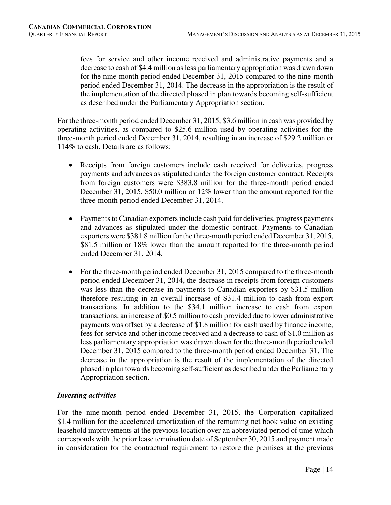fees for service and other income received and administrative payments and a decrease to cash of \$4.4 million as less parliamentary appropriation was drawn down for the nine-month period ended December 31, 2015 compared to the nine-month period ended December 31, 2014. The decrease in the appropriation is the result of the implementation of the directed phased in plan towards becoming self-sufficient as described under the Parliamentary Appropriation section.

For the three-month period ended December 31, 2015, \$3.6 million in cash was provided by operating activities, as compared to \$25.6 million used by operating activities for the three-month period ended December 31, 2014, resulting in an increase of \$29.2 million or 114% to cash. Details are as follows:

- Receipts from foreign customers include cash received for deliveries, progress payments and advances as stipulated under the foreign customer contract. Receipts from foreign customers were \$383.8 million for the three-month period ended December 31, 2015, \$50.0 million or 12% lower than the amount reported for the three-month period ended December 31, 2014.
- Payments to Canadian exporters include cash paid for deliveries, progress payments and advances as stipulated under the domestic contract. Payments to Canadian exporters were \$381.8 million for the three-month period ended December 31, 2015, \$81.5 million or 18% lower than the amount reported for the three-month period ended December 31, 2014.
- For the three-month period ended December 31, 2015 compared to the three-month period ended December 31, 2014, the decrease in receipts from foreign customers was less than the decrease in payments to Canadian exporters by \$31.5 million therefore resulting in an overall increase of \$31.4 million to cash from export transactions. In addition to the \$34.1 million increase to cash from export transactions, an increase of \$0.5 million to cash provided due to lower administrative payments was offset by a decrease of \$1.8 million for cash used by finance income, fees for service and other income received and a decrease to cash of \$1.0 million as less parliamentary appropriation was drawn down for the three-month period ended December 31, 2015 compared to the three-month period ended December 31. The decrease in the appropriation is the result of the implementation of the directed phased in plan towards becoming self-sufficient as described under the Parliamentary Appropriation section.

# *Investing activities*

For the nine-month period ended December 31, 2015, the Corporation capitalized \$1.4 million for the accelerated amortization of the remaining net book value on existing leasehold improvements at the previous location over an abbreviated period of time which corresponds with the prior lease termination date of September 30, 2015 and payment made in consideration for the contractual requirement to restore the premises at the previous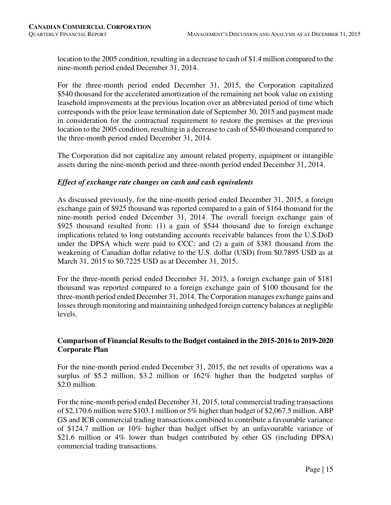location to the 2005 condition, resulting in a decrease to cash of \$1.4 million compared to the nine-month period ended December 31, 2014.

For the three-month period ended December 31, 2015, the Corporation capitalized \$540 thousand for the accelerated amortization of the remaining net book value on existing leasehold improvements at the previous location over an abbreviated period of time which corresponds with the prior lease termination date of September 30, 2015 and payment made in consideration for the contractual requirement to restore the premises at the previous location to the 2005 condition, resulting in a decrease to cash of \$540 thousand compared to the three-month period ended December 31, 2014.

The Corporation did not capitalize any amount related property, equipment or intangible assets during the nine-month period and three-month period ended December 31, 2014.

# *Effect of exchange rate changes on cash and cash equivalents*

As discussed previously, for the nine-month period ended December 31, 2015, a foreign exchange gain of \$925 thousand was reported compared to a gain of \$164 thousand for the nine-month period ended December 31, 2014. The overall foreign exchange gain of \$925 thousand resulted from: (1) a gain of \$544 thousand due to foreign exchange implications related to long outstanding accounts receivable balances from the U.S.DoD under the DPSA which were paid to CCC; and (2) a gain of \$381 thousand from the weakening of Canadian dollar relative to the U.S. dollar (USD) from \$0.7895 USD as at March 31, 2015 to \$0.7225 USD as at December 31, 2015.

For the three-month period ended December 31, 2015, a foreign exchange gain of \$181 thousand was reported compared to a foreign exchange gain of \$100 thousand for the three-month period ended December 31, 2014. The Corporation manages exchange gains and losses through monitoring and maintaining unhedged foreign currency balances at negligible levels.

# **Comparison of Financial Results to the Budget contained in the 2015-2016 to 2019-2020 Corporate Plan**

For the nine-month period ended December 31, 2015, the net results of operations was a surplus of \$5.2 million, \$3.2 million or 162% higher than the budgeted surplus of \$2.0 million.

For the nine-month period ended December 31, 2015, total commercial trading transactions of \$2,170.6 million were \$103.1 million or 5% higher than budget of \$2,067.5 million. ABP GS and ICB commercial trading transactions combined to contribute a favourable variance of \$124.7 million or 10% higher than budget offset by an unfavourable variance of \$21.6 million or 4% lower than budget contributed by other GS (including DPSA) commercial trading transactions.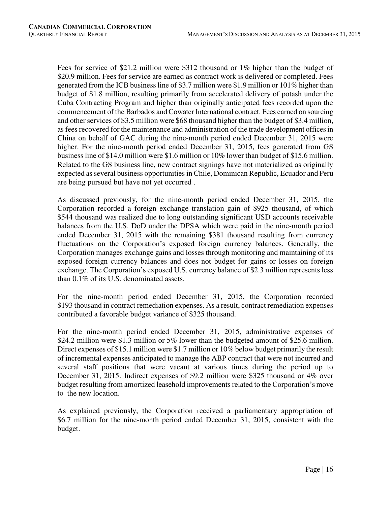Fees for service of \$21.2 million were \$312 thousand or 1% higher than the budget of \$20.9 million. Fees for service are earned as contract work is delivered or completed. Fees generated from the ICB business line of \$3.7 million were \$1.9 million or 101% higher than budget of \$1.8 million, resulting primarily from accelerated delivery of potash under the Cuba Contracting Program and higher than originally anticipated fees recorded upon the commencement of the Barbados and Cowater International contract. Fees earned on sourcing and other services of \$3.5 million were \$68 thousand higher than the budget of \$3.4 million, as fees recovered for the maintenance and administration of the trade development offices in China on behalf of GAC during the nine-month period ended December 31, 2015 were higher. For the nine-month period ended December 31, 2015, fees generated from GS business line of \$14.0 million were \$1.6 million or 10% lower than budget of \$15.6 million. Related to the GS business line, new contract signings have not materialized as originally expected as several business opportunities in Chile, Dominican Republic, Ecuador and Peru are being pursued but have not yet occurred .

As discussed previously, for the nine-month period ended December 31, 2015, the Corporation recorded a foreign exchange translation gain of \$925 thousand, of which \$544 thousand was realized due to long outstanding significant USD accounts receivable balances from the U.S. DoD under the DPSA which were paid in the nine-month period ended December 31, 2015 with the remaining \$381 thousand resulting from currency fluctuations on the Corporation's exposed foreign currency balances. Generally, the Corporation manages exchange gains and losses through monitoring and maintaining of its exposed foreign currency balances and does not budget for gains or losses on foreign exchange. The Corporation's exposed U.S. currency balance of \$2.3 million represents less than 0.1% of its U.S. denominated assets.

For the nine-month period ended December 31, 2015, the Corporation recorded \$193 thousand in contract remediation expenses. As a result, contract remediation expenses contributed a favorable budget variance of \$325 thousand.

For the nine-month period ended December 31, 2015, administrative expenses of \$24.2 million were \$1.3 million or 5% lower than the budgeted amount of \$25.6 million. Direct expenses of \$15.1 million were \$1.7 million or 10% below budget primarily the result of incremental expenses anticipated to manage the ABP contract that were not incurred and several staff positions that were vacant at various times during the period up to December 31, 2015. Indirect expenses of \$9.2 million were \$325 thousand or 4% over budget resulting from amortized leasehold improvements related to the Corporation's move to the new location.

As explained previously, the Corporation received a parliamentary appropriation of \$6.7 million for the nine-month period ended December 31, 2015, consistent with the budget.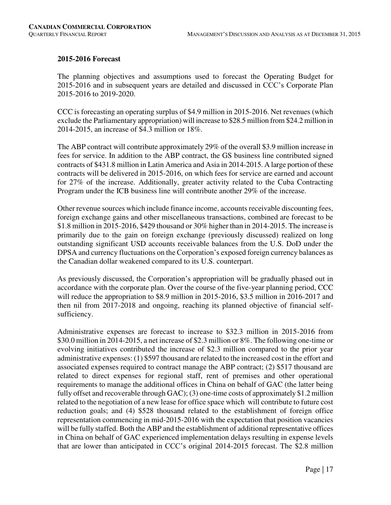### **2015-2016 Forecast**

The planning objectives and assumptions used to forecast the Operating Budget for 2015-2016 and in subsequent years are detailed and discussed in CCC's Corporate Plan 2015-2016 to 2019-2020.

CCC is forecasting an operating surplus of \$4.9 million in 2015-2016. Net revenues (which exclude the Parliamentary appropriation) will increase to \$28.5 million from \$24.2 million in 2014-2015, an increase of \$4.3 million or 18%.

The ABP contract will contribute approximately 29% of the overall \$3.9 million increase in fees for service. In addition to the ABP contract, the GS business line contributed signed contracts of \$431.8 million in Latin America and Asia in 2014-2015. A large portion of these contracts will be delivered in 2015-2016, on which fees for service are earned and account for 27% of the increase. Additionally, greater activity related to the Cuba Contracting Program under the ICB business line will contribute another 29% of the increase.

Other revenue sources which include finance income, accounts receivable discounting fees, foreign exchange gains and other miscellaneous transactions, combined are forecast to be \$1.8 million in 2015-2016, \$429 thousand or 30% higher than in 2014-2015. The increase is primarily due to the gain on foreign exchange (previously discussed) realized on long outstanding significant USD accounts receivable balances from the U.S. DoD under the DPSA and currency fluctuations on the Corporation's exposed foreign currency balances as the Canadian dollar weakened compared to its U.S. counterpart.

As previously discussed, the Corporation's appropriation will be gradually phased out in accordance with the corporate plan. Over the course of the five-year planning period, CCC will reduce the appropriation to \$8.9 million in 2015-2016, \$3.5 million in 2016-2017 and then nil from 2017-2018 and ongoing, reaching its planned objective of financial selfsufficiency.

Administrative expenses are forecast to increase to \$32.3 million in 2015-2016 from \$30.0 million in 2014-2015, a net increase of \$2.3 million or 8%. The following one-time or evolving initiatives contributed the increase of \$2.3 million compared to the prior year administrative expenses: (1) \$597 thousand are related to the increased cost in the effort and associated expenses required to contract manage the ABP contract; (2) \$517 thousand are related to direct expenses for regional staff, rent of premises and other operational requirements to manage the additional offices in China on behalf of GAC (the latter being fully offset and recoverable through GAC); (3) one-time costs of approximately \$1.2 million related to the negotiation of a new lease for office space which will contribute to future cost reduction goals; and (4) \$528 thousand related to the establishment of foreign office representation commencing in mid-2015-2016 with the expectation that position vacancies will be fully staffed. Both the ABP and the establishment of additional representative offices in China on behalf of GAC experienced implementation delays resulting in expense levels that are lower than anticipated in CCC's original 2014-2015 forecast. The \$2.8 million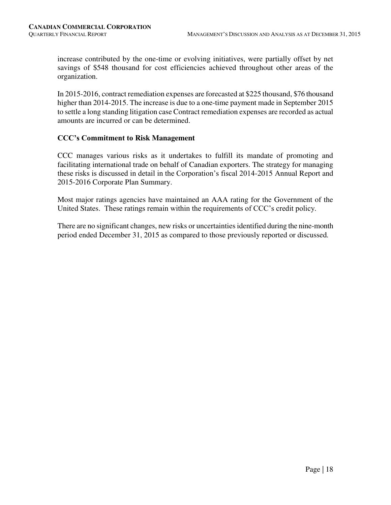increase contributed by the one-time or evolving initiatives, were partially offset by net savings of \$548 thousand for cost efficiencies achieved throughout other areas of the organization.

In 2015-2016, contract remediation expenses are forecasted at \$225 thousand, \$76 thousand higher than 2014-2015. The increase is due to a one-time payment made in September 2015 to settle a long standing litigation case Contract remediation expenses are recorded as actual amounts are incurred or can be determined.

#### **CCC's Commitment to Risk Management**

CCC manages various risks as it undertakes to fulfill its mandate of promoting and facilitating international trade on behalf of Canadian exporters. The strategy for managing these risks is discussed in detail in the Corporation's fiscal 2014-2015 Annual Report and 2015-2016 Corporate Plan Summary.

Most major ratings agencies have maintained an AAA rating for the Government of the United States. These ratings remain within the requirements of CCC's credit policy.

There are no significant changes, new risks or uncertainties identified during the nine-month period ended December 31, 2015 as compared to those previously reported or discussed*.*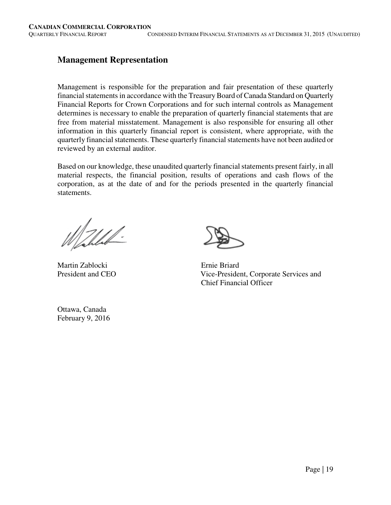# **Management Representation**

Management is responsible for the preparation and fair presentation of these quarterly financial statements in accordance with the Treasury Board of Canada Standard on Quarterly Financial Reports for Crown Corporations and for such internal controls as Management determines is necessary to enable the preparation of quarterly financial statements that are free from material misstatement. Management is also responsible for ensuring all other information in this quarterly financial report is consistent, where appropriate, with the quarterly financial statements. These quarterly financial statements have not been audited or reviewed by an external auditor.

Based on our knowledge, these unaudited quarterly financial statements present fairly, in all material respects, the financial position, results of operations and cash flows of the corporation, as at the date of and for the periods presented in the quarterly financial statements.

Walled.

Martin Zablocki Ernie Briard

President and CEO Vice-President, Corporate Services and Chief Financial Officer

Ottawa, Canada February 9, 2016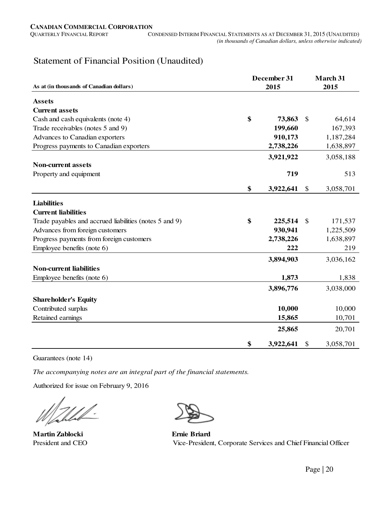# Statement of Financial Position (Unaudited)

| As at (in thousands of Canadian dollars)               | December 31<br>2015 | March 31<br>2015 |
|--------------------------------------------------------|---------------------|------------------|
| <b>Assets</b>                                          |                     |                  |
| <b>Current assets</b>                                  |                     |                  |
| Cash and cash equivalents (note 4)                     | \$<br>73,863        | \$<br>64,614     |
| Trade receivables (notes 5 and 9)                      | 199,660             | 167,393          |
| Advances to Canadian exporters                         | 910,173             | 1,187,284        |
| Progress payments to Canadian exporters                | 2,738,226           | 1,638,897        |
|                                                        | 3,921,922           | 3,058,188        |
| <b>Non-current assets</b>                              |                     |                  |
| Property and equipment                                 | 719                 | 513              |
|                                                        |                     |                  |
|                                                        | \$<br>3,922,641     | \$<br>3,058,701  |
| <b>Liabilities</b>                                     |                     |                  |
| <b>Current liabilities</b>                             |                     |                  |
| Trade payables and accrued liabilities (notes 5 and 9) | \$<br>225,514       | \$<br>171,537    |
| Advances from foreign customers                        | 930,941             | 1,225,509        |
| Progress payments from foreign customers               | 2,738,226           | 1,638,897        |
| Employee benefits (note 6)                             | 222                 | 219              |
|                                                        | 3,894,903           | 3,036,162        |
| <b>Non-current liabilities</b>                         |                     |                  |
| Employee benefits (note 6)                             | 1,873               | 1,838            |
|                                                        | 3,896,776           | 3,038,000        |
|                                                        |                     |                  |
| <b>Shareholder's Equity</b>                            |                     |                  |
| Contributed surplus                                    | 10,000              | 10,000           |
| Retained earnings                                      | 15,865              | 10,701           |
|                                                        | 25,865              | 20,701           |
|                                                        | \$<br>3,922,641     | \$<br>3,058,701  |

Guarantees (note 14)

*The accompanying notes are an integral part of the financial statements.*

Authorized for issue on February 9, 2016

**Martin Zablocki Ernie Briard**



President and CEO Vice-President, Corporate Services and Chief Financial Officer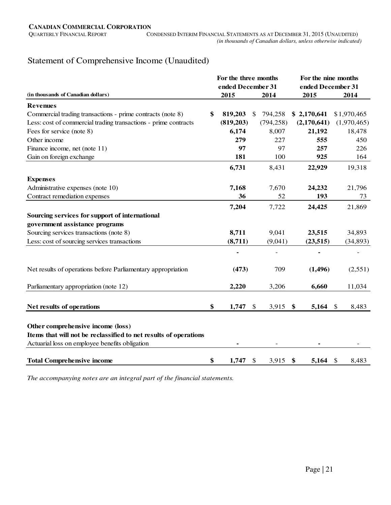# Statement of Comprehensive Income (Unaudited)

|                                                                  | For the three months |               |            | For the nine months |                   |               |             |  |
|------------------------------------------------------------------|----------------------|---------------|------------|---------------------|-------------------|---------------|-------------|--|
|                                                                  | ended December 31    |               |            |                     | ended December 31 |               |             |  |
| (in thousands of Canadian dollars)                               | 2015                 |               | 2014       |                     | 2015              |               | 2014        |  |
| <b>Revenues</b>                                                  |                      |               |            |                     |                   |               |             |  |
| Commercial trading transactions - prime contracts (note 8)       | \$<br>819,203        | $\mathcal{S}$ | 794,258    |                     | \$2,170,641       |               | \$1,970,465 |  |
| Less: cost of commercial trading transactions - prime contracts  | (819,203)            |               | (794, 258) |                     | (2,170,641)       |               | (1,970,465) |  |
| Fees for service (note 8)                                        | 6,174                |               | 8,007      |                     | 21,192            |               | 18,478      |  |
| Other income                                                     | 279                  |               | 227        |                     | 555               |               | 450         |  |
| Finance income, net (note 11)                                    | 97                   |               | 97         |                     | 257               |               | 226         |  |
| Gain on foreign exchange                                         | 181                  |               | 100        |                     | 925               |               | 164         |  |
|                                                                  | 6,731                |               | 8,431      |                     | 22,929            |               | 19,318      |  |
| <b>Expenses</b>                                                  |                      |               |            |                     |                   |               |             |  |
| Administrative expenses (note 10)                                | 7,168                |               | 7,670      |                     | 24,232            |               | 21,796      |  |
| Contract remediation expenses                                    | 36                   |               | 52         |                     | 193               |               | 73          |  |
|                                                                  | 7,204                |               | 7,722      |                     | 24,425            |               | 21,869      |  |
| Sourcing services for support of international                   |                      |               |            |                     |                   |               |             |  |
| government assistance programs                                   |                      |               |            |                     |                   |               |             |  |
| Sourcing services transactions (note 8)                          | 8,711                |               | 9,041      |                     | 23,515            |               | 34,893      |  |
| Less: cost of sourcing services transactions                     | (8,711)              |               | (9,041)    |                     | (23, 515)         |               | (34, 893)   |  |
|                                                                  |                      |               |            |                     |                   |               |             |  |
| Net results of operations before Parliamentary appropriation     | (473)                |               | 709        |                     | (1, 496)          |               | (2,551)     |  |
| Parliamentary appropriation (note 12)                            | 2,220                |               | 3,206      |                     | 6,660             |               | 11,034      |  |
|                                                                  |                      |               |            |                     |                   |               |             |  |
| Net results of operations                                        | \$<br>1,747          | $\mathcal{S}$ | 3,915      | \$                  | 5,164             | <sup>\$</sup> | 8,483       |  |
| Other comprehensive income (loss)                                |                      |               |            |                     |                   |               |             |  |
| Items that will not be reclassified to net results of operations |                      |               |            |                     |                   |               |             |  |
| Actuarial loss on employee benefits obligation                   |                      |               |            |                     |                   |               |             |  |
| <b>Total Comprehensive income</b>                                | \$<br>1,747          | \$            | 3,915      | \$                  | 5,164             | \$            | 8,483       |  |

*The accompanying notes are an integral part of the financial statements.*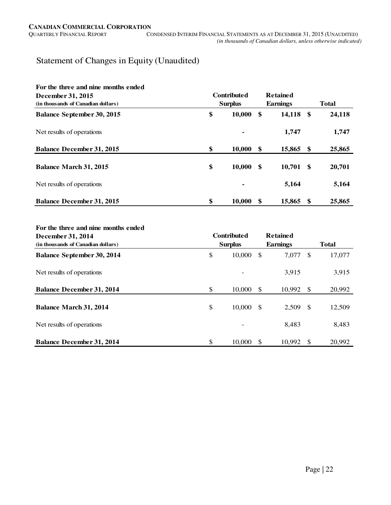# Statement of Changes in Equity (Unaudited)

| For the three and nine months ended<br>December 31, 2015<br>(in thousands of Canadian dollars) | <b>Contributed</b><br><b>Surplus</b> |     | <b>Retained</b><br><b>Earnings</b> |     | <b>Total</b> |  |
|------------------------------------------------------------------------------------------------|--------------------------------------|-----|------------------------------------|-----|--------------|--|
| <b>Balance September 30, 2015</b>                                                              | \$<br>10,000                         | -S  | 14,118 \$                          |     | 24,118       |  |
| Net results of operations                                                                      |                                      |     | 1,747                              |     | 1,747        |  |
| <b>Balance December 31, 2015</b>                                                               | \$<br>10,000                         | -S  | 15,865 \$                          |     | 25,865       |  |
| <b>Balance March 31, 2015</b>                                                                  | \$<br>10,000                         | -\$ | $10,701$ \$                        |     | 20,701       |  |
| Net results of operations                                                                      |                                      |     | 5,164                              |     | 5,164        |  |
| <b>Balance December 31, 2015</b>                                                               | \$<br>10,000                         |     | 15,865                             | -\$ | 25,865       |  |

#### **For the three and nine months ended**

| December 31, 2014                  | <b>Contributed</b> |     | <b>Retained</b> |     |              |
|------------------------------------|--------------------|-----|-----------------|-----|--------------|
| (in thousands of Canadian dollars) | <b>Surplus</b>     |     | <b>Earnings</b> |     | <b>Total</b> |
| <b>Balance September 30, 2014</b>  | \$<br>10,000       | \$  | 7,077           | \$  | 17,077       |
| Net results of operations          |                    |     | 3,915           |     | 3,915        |
| <b>Balance December 31, 2014</b>   | \$<br>10,000       | -S  | 10,992          | \$  | 20,992       |
| <b>Balance March 31, 2014</b>      | \$<br>10,000       | -\$ | 2,509           | -\$ | 12,509       |
| Net results of operations          |                    |     | 8.483           |     | 8,483        |
| <b>Balance December 31, 2014</b>   | \$<br>10,000       |     | 10.992          | -\$ | 20,992       |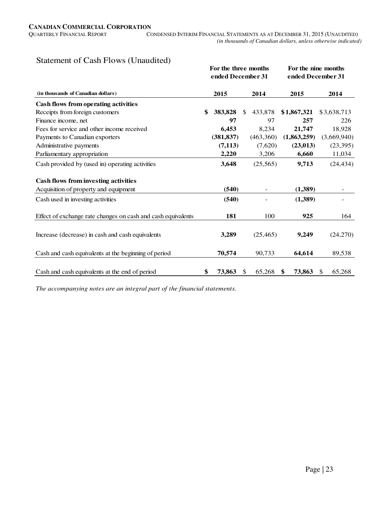# Statement of Cash Flows (Unaudited)

| $\mathbf{r}$ and $\mathbf{r}$ . The $\mathbf{r}$ dependence of $\mathbf{r}$ | For the three months<br>ended December 31 |     |           | For the nine months<br>ended December 31 |             |               |                              |  |  |
|-----------------------------------------------------------------------------|-------------------------------------------|-----|-----------|------------------------------------------|-------------|---------------|------------------------------|--|--|
| (in thousands of Canadian dollars)                                          | 2015                                      |     | 2014      |                                          | 2015        |               | 2014                         |  |  |
| Cash flows from operating activities                                        |                                           |     |           |                                          |             |               |                              |  |  |
| Receipts from foreign customers                                             | \$<br>383,828                             | \$. | 433,878   |                                          | \$1,867,321 |               | \$3,638,713                  |  |  |
| Finance income, net                                                         | 97                                        |     | 97        |                                          | 257         |               | 226                          |  |  |
| Fees for service and other income received                                  | 6,453                                     |     | 8,234     |                                          | 21,747      |               | 18,928                       |  |  |
| Payments to Canadian exporters                                              | (381, 837)                                |     | (463,360) |                                          | (1,863,259) |               | (3,669,940)                  |  |  |
| Administrative payments                                                     | (7, 113)                                  |     | (7,620)   |                                          | (23, 013)   |               | (23,395)                     |  |  |
| Parliamentary appropriation                                                 | 2,220                                     |     | 3,206     |                                          | 6,660       |               | 11,034                       |  |  |
| Cash provided by (used in) operating activities                             | 3,648                                     |     | (25,565)  |                                          | 9,713       |               | (24, 434)                    |  |  |
| <b>Cash flows from investing activities</b>                                 |                                           |     |           |                                          |             |               |                              |  |  |
| Acquisition of property and equipment                                       | (540)                                     |     |           |                                          | (1,389)     |               | $\qquad \qquad \blacksquare$ |  |  |
| Cash used in investing activities                                           | (540)                                     |     |           |                                          | (1,389)     |               |                              |  |  |
| Effect of exchange rate changes on cash and cash equivalents                | 181                                       |     | 100       |                                          | 925         |               | 164                          |  |  |
|                                                                             |                                           |     |           |                                          |             |               |                              |  |  |
| Increase (decrease) in cash and cash equivalents                            | 3,289                                     |     | (25, 465) |                                          | 9,249       |               | (24,270)                     |  |  |
| Cash and cash equivalents at the beginning of period                        | 70,574                                    |     | 90,733    |                                          | 64,614      |               | 89,538                       |  |  |
| Cash and cash equivalents at the end of period                              | \$<br>73,863                              | S.  | 65,268    | \$                                       | 73,863      | <sup>\$</sup> | 65,268                       |  |  |

*The accompanying notes are an integral part of the financial statements.*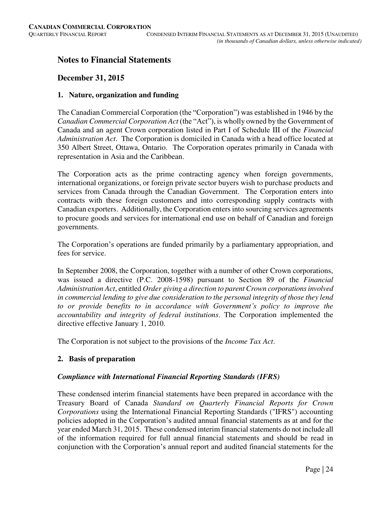# **Notes to Financial Statements**

# **December 31, 2015**

### **1. Nature, organization and funding**

The Canadian Commercial Corporation (the "Corporation") was established in 1946 by the *Canadian Commercial Corporation Act* (the "Act"), is wholly owned by the Government of Canada and an agent Crown corporation listed in Part I of Schedule III of the *Financial Administration Act*. The Corporation is domiciled in Canada with a head office located at 350 Albert Street, Ottawa, Ontario. The Corporation operates primarily in Canada with representation in Asia and the Caribbean.

The Corporation acts as the prime contracting agency when foreign governments, international organizations, or foreign private sector buyers wish to purchase products and services from Canada through the Canadian Government. The Corporation enters into contracts with these foreign customers and into corresponding supply contracts with Canadian exporters. Additionally, the Corporation enters into sourcing services agreements to procure goods and services for international end use on behalf of Canadian and foreign governments.

The Corporation's operations are funded primarily by a parliamentary appropriation, and fees for service.

In September 2008, the Corporation, together with a number of other Crown corporations, was issued a directive (P.C. 2008-1598) pursuant to Section 89 of the *Financial Administration Act*, entitled *Order giving a direction to parent Crown corporations involved in commercial lending to give due consideration to the personal integrity of those they lend to or provide benefits to in accordance with Government's policy to improve the accountability and integrity of federal institutions*. The Corporation implemented the directive effective January 1, 2010.

The Corporation is not subject to the provisions of the *Income Tax Act*.

# **2. Basis of preparation**

# *Compliance with International Financial Reporting Standards (IFRS)*

These condensed interim financial statements have been prepared in accordance with the Treasury Board of Canada *Standard on Quarterly Financial Reports for Crown Corporations* using the International Financial Reporting Standards ("IFRS") accounting policies adopted in the Corporation's audited annual financial statements as at and for the year ended March 31, 2015. These condensed interim financial statements do not include all of the information required for full annual financial statements and should be read in conjunction with the Corporation's annual report and audited financial statements for the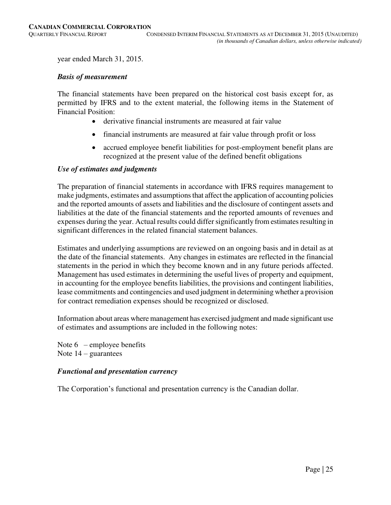year ended March 31, 2015.

#### *Basis of measurement*

The financial statements have been prepared on the historical cost basis except for, as permitted by IFRS and to the extent material, the following items in the Statement of Financial Position:

- derivative financial instruments are measured at fair value
- financial instruments are measured at fair value through profit or loss
- accrued employee benefit liabilities for post-employment benefit plans are recognized at the present value of the defined benefit obligations

#### *Use of estimates and judgments*

The preparation of financial statements in accordance with IFRS requires management to make judgments, estimates and assumptions that affect the application of accounting policies and the reported amounts of assets and liabilities and the disclosure of contingent assets and liabilities at the date of the financial statements and the reported amounts of revenues and expenses during the year. Actual results could differ significantly from estimates resulting in significant differences in the related financial statement balances.

Estimates and underlying assumptions are reviewed on an ongoing basis and in detail as at the date of the financial statements. Any changes in estimates are reflected in the financial statements in the period in which they become known and in any future periods affected. Management has used estimates in determining the useful lives of property and equipment, in accounting for the employee benefits liabilities, the provisions and contingent liabilities, lease commitments and contingencies and used judgment in determining whether a provision for contract remediation expenses should be recognized or disclosed.

Information about areas where management has exercised judgment and made significant use of estimates and assumptions are included in the following notes:

Note  $6$  – employee benefits Note  $14$  – guarantees

# *Functional and presentation currency*

The Corporation's functional and presentation currency is the Canadian dollar.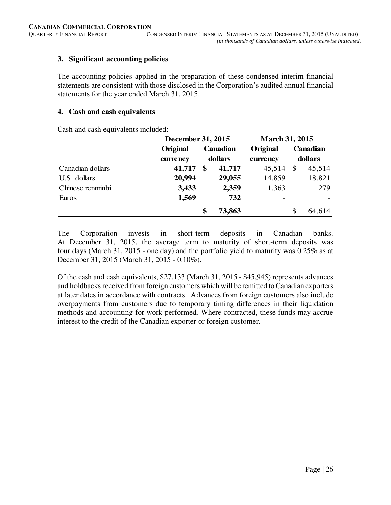# **3. Significant accounting policies**

The accounting policies applied in the preparation of these condensed interim financial statements are consistent with those disclosed in the Corporation's audited annual financial statements for the year ended March 31, 2015.

# **4. Cash and cash equivalents**

Cash and cash equivalents included:

|                  | December 31, 2015    |                   |          | <b>March 31, 2015</b> |               |          |  |  |
|------------------|----------------------|-------------------|----------|-----------------------|---------------|----------|--|--|
|                  | Original<br>currency |                   | Canadian | Original              |               | Canadian |  |  |
|                  |                      |                   | dollars  | currency              |               | dollars  |  |  |
| Canadian dollars | 41,717               | $\boldsymbol{\$}$ | 41,717   | 45,514                | $\mathcal{S}$ | 45,514   |  |  |
| U.S. dollars     | 20,994               |                   | 29,055   | 14,859                |               | 18,821   |  |  |
| Chinese renminbi | 3,433                |                   | 2,359    | 1,363                 |               | 279      |  |  |
| Euros            | 1,569                |                   | 732      |                       |               |          |  |  |
|                  |                      | \$                | 73,863   |                       | \$            | 64,614   |  |  |

The Corporation invests in short-term deposits in Canadian banks. At December 31, 2015, the average term to maturity of short-term deposits was four days (March 31, 2015 - one day) and the portfolio yield to maturity was 0.25% as at December 31, 2015 (March 31, 2015 - 0.10%).

Of the cash and cash equivalents, \$27,133 (March 31, 2015 - \$45,945) represents advances and holdbacks received from foreign customers which will be remitted to Canadian exporters at later dates in accordance with contracts. Advances from foreign customers also include overpayments from customers due to temporary timing differences in their liquidation methods and accounting for work performed. Where contracted, these funds may accrue interest to the credit of the Canadian exporter or foreign customer.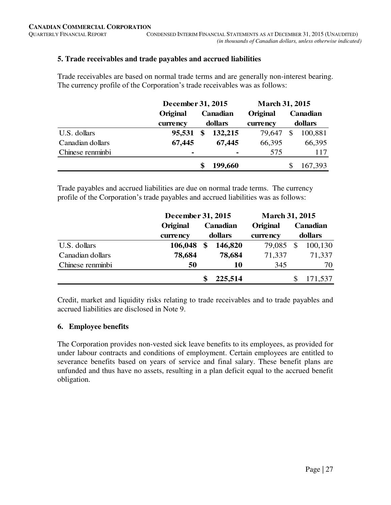# **5. Trade receivables and trade payables and accrued liabilities**

Trade receivables are based on normal trade terms and are generally non-interest bearing. The currency profile of the Corporation's trade receivables was as follows:

|                  | December 31, 2015 |                | <b>March 31, 2015</b> |          |         |  |  |
|------------------|-------------------|----------------|-----------------------|----------|---------|--|--|
|                  | Original          | Canadian       | Original              | Canadian |         |  |  |
|                  | currency          | dollars        | currency              |          | dollars |  |  |
| U.S. dollars     | 95,531            | \$<br>132,215  | 79,647                | \$       | 100,881 |  |  |
| Canadian dollars | 67,445            | 67,445         | 66,395                |          | 66,395  |  |  |
| Chinese renminbi |                   | $\blacksquare$ | 575                   |          | 117     |  |  |
|                  |                   | 199,660        |                       |          | 167,393 |  |  |

Trade payables and accrued liabilities are due on normal trade terms. The currency profile of the Corporation's trade payables and accrued liabilities was as follows:

|                  | December 31, 2015 |    | <b>March 31, 2015</b> |          |         |          |  |
|------------------|-------------------|----|-----------------------|----------|---------|----------|--|
|                  | Original          |    | <b>Canadian</b>       | Original |         | Canadian |  |
|                  | currency          |    | dollars               | currency | dollars |          |  |
| U.S. dollars     | 106,048           | \$ | 146,820               | 79,085   | \$      | 100,130  |  |
| Canadian dollars | 78,684            |    | 78,684                | 71,337   |         | 71,337   |  |
| Chinese renminbi | 50                |    | 10                    | 345      |         | 70       |  |
|                  |                   |    | 225,514               |          |         | 171,537  |  |

Credit, market and liquidity risks relating to trade receivables and to trade payables and accrued liabilities are disclosed in Note 9.

# **6. Employee benefits**

The Corporation provides non-vested sick leave benefits to its employees, as provided for under labour contracts and conditions of employment. Certain employees are entitled to severance benefits based on years of service and final salary. These benefit plans are unfunded and thus have no assets, resulting in a plan deficit equal to the accrued benefit obligation.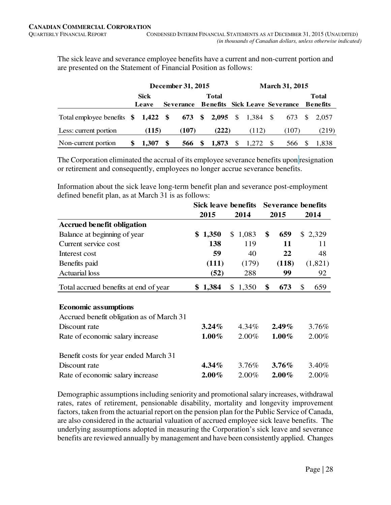The sick leave and severance employee benefits have a current and non-current portion and are presented on the Statement of Financial Position as follows:

|                                                          |             | December 31, 2015 |                  | <b>March 31, 2015</b> |              |              |          |  |                                      |  |              |
|----------------------------------------------------------|-------------|-------------------|------------------|-----------------------|--------------|--------------|----------|--|--------------------------------------|--|--------------|
|                                                          | <b>Sick</b> |                   |                  |                       | Total        |              |          |  |                                      |  | <b>Total</b> |
|                                                          | Leave       |                   | <b>Severance</b> |                       |              |              |          |  | <b>Benefits Sick Leave Severance</b> |  | Benefits     |
| Total employee benefits \$1,422 \$673 \$2,095 \$1,384 \$ |             |                   |                  |                       |              |              |          |  |                                      |  | 673 \$ 2.057 |
| Less: current portion                                    | (115)       |                   | (107)            |                       | (222)        |              | (112)    |  | (107)                                |  | (219)        |
| Non-current portion                                      | 1.307       | -SS               |                  |                       | 566 \$ 1,873 | <sup>S</sup> | 1,272 \$ |  | 566                                  |  | 1.838        |

The Corporation eliminated the accrual of its employee severance benefits upon resignation or retirement and consequently, employees no longer accrue severance benefits.

Information about the sick leave long-term benefit plan and severance post-employment defined benefit plan, as at March 31 is as follows:

|                                           | Sick leave benefits |             |           | <b>Severance benefits</b> |
|-------------------------------------------|---------------------|-------------|-----------|---------------------------|
|                                           | 2015                | 2014        | 2015      | 2014                      |
| <b>Accrued benefit obligation</b>         |                     |             |           |                           |
| Balance at beginning of year              | \$1,350             | 1,083<br>\$ | \$<br>659 | \$2,329                   |
| Current service cost                      | 138                 | 119         | 11        | 11                        |
| Interest cost                             | 59                  | 40          | 22        | 48                        |
| Benefits paid                             | (111)               | (179)       | (118)     | (1,821)                   |
| <b>Actuarial</b> loss                     | (52)                | 288         | 99        | 92                        |
| Total accrued benefits at end of year     | \$1,384             | 1,350<br>\$ | \$<br>673 | 659<br>\$                 |
|                                           |                     |             |           |                           |
| <b>Economic assumptions</b>               |                     |             |           |                           |
| Accrued benefit obligation as of March 31 |                     |             |           |                           |
| Discount rate                             | $3.24\%$            | 4.34%       | $2.49\%$  | 3.76%                     |
| Rate of economic salary increase          | $1.00\%$            | 2.00%       | $1.00\%$  | 2.00%                     |
| Benefit costs for year ended March 31     |                     |             |           |                           |
| Discount rate                             | $4.34\%$            | 3.76%       | $3.76\%$  | 3.40%                     |
| Rate of economic salary increase          | $2.00\%$            | 2.00%       | $2.00\%$  | $2.00\%$                  |

Demographic assumptions including seniority and promotional salary increases, withdrawal rates, rates of retirement, pensionable disability, mortality and longevity improvement factors, taken from the actuarial report on the pension plan for the Public Service of Canada, are also considered in the actuarial valuation of accrued employee sick leave benefits. The underlying assumptions adopted in measuring the Corporation's sick leave and severance benefits are reviewed annually by management and have been consistently applied. Changes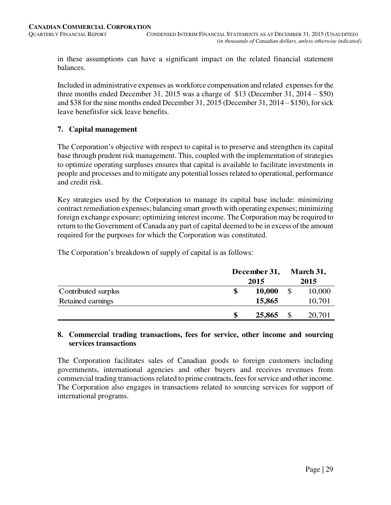in these assumptions can have a significant impact on the related financial statement balances.

Included in administrative expenses as workforce compensation and related expenses for the three months ended December 31, 2015 was a charge of \$13 (December 31, 2014 – \$50) and \$38 for the nine months ended December 31, 2015 (December 31, 2014 – \$150), for sick leave benefitsfor sick leave benefits.

# **7. Capital management**

The Corporation's objective with respect to capital is to preserve and strengthen its capital base through prudent risk management. This, coupled with the implementation of strategies to optimize operating surpluses ensures that capital is available to facilitate investments in people and processes and to mitigate any potential losses related to operational, performance and credit risk.

Key strategies used by the Corporation to manage its capital base include: minimizing contract remediation expenses; balancing smart growth with operating expenses; minimizing foreign exchange exposure; optimizing interest income. The Corporation may be required to return to the Government of Canada any part of capital deemed to be in excess of the amount required for the purposes for which the Corporation was constituted.

The Corporation's breakdown of supply of capital is as follows:

|                     | December 31, |        |  | March 31, |
|---------------------|--------------|--------|--|-----------|
|                     |              | 2015   |  | 2015      |
| Contributed surplus | \$           | 10,000 |  | 10,000    |
| Retained earnings   |              | 15,865 |  | 10,701    |
|                     | S            | 25,865 |  | 20,701    |

#### **8. Commercial trading transactions, fees for service, other income and sourcing services transactions**

The Corporation facilitates sales of Canadian goods to foreign customers including governments, international agencies and other buyers and receives revenues from commercial trading transactions related to prime contracts, fees for service and other income. The Corporation also engages in transactions related to sourcing services for support of international programs.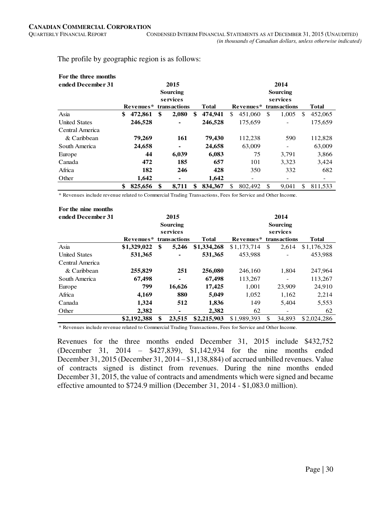The profile by geographic region is as follows:

| For the three months |               |    |                |    |         |          |           |    |                          |               |         |  |
|----------------------|---------------|----|----------------|----|---------|----------|-----------|----|--------------------------|---------------|---------|--|
| ended December 31    |               |    | 2015           |    |         | 2014     |           |    |                          |               |         |  |
|                      | Sourcing      |    |                |    |         |          | Sourcing  |    |                          |               |         |  |
|                      | services      |    |                |    |         | services |           |    |                          |               |         |  |
|                      | Revenues*     |    | transactions   |    | Total   |          | Revenues* |    | transactions             |               | Total   |  |
| Asia                 | \$<br>472,861 | \$ | 2,080          | \$ | 474,941 | \$       | 451,060   | \$ | 1,005                    | <sup>\$</sup> | 452,065 |  |
| <b>United States</b> | 246,528       |    | $\blacksquare$ |    | 246,528 |          | 175,659   |    |                          |               | 175,659 |  |
| Central America      |               |    |                |    |         |          |           |    |                          |               |         |  |
| & Caribbean          | 79,269        |    | 161            |    | 79,430  |          | 112,238   |    | 590                      |               | 112,828 |  |
| South America        | 24,658        |    | $\blacksquare$ |    | 24,658  |          | 63,009    |    |                          |               | 63,009  |  |
| Europe               | 44            |    | 6,039          |    | 6,083   |          | 75        |    | 3,791                    |               | 3,866   |  |
| Canada               | 472           |    | 185            |    | 657     |          | 101       |    | 3,323                    |               | 3,424   |  |
| Africa               | 182           |    | 246            |    | 428     |          | 350       |    | 332                      |               | 682     |  |
| Other                | 1,642         |    | -              |    | 1,642   |          | -         |    | $\overline{\phantom{0}}$ |               |         |  |
|                      | \$<br>825,656 | \$ | 8,711          | \$ | 834.367 | \$.      | 802,492   | \$ | 9.041                    | \$            | 811.533 |  |

\* Revenues include revenue related to Commercial Trading Transactions, Fees for Service and Other Income.

| For the nine months<br>ended December 31 |             | 2015<br>Sourcing<br>services |             |             |     | 2014<br>Sourcing<br>services |              |
|------------------------------------------|-------------|------------------------------|-------------|-------------|-----|------------------------------|--------------|
|                                          | Revenues*   | transactions<br>Total        |             | Revenues*   |     | transactions                 | <b>Total</b> |
| Asia                                     | \$1,329,022 | \$<br>5,246                  | \$1,334,268 | \$1,173,714 | \$  | 2,614                        | \$1,176,328  |
| <b>United States</b>                     | 531,365     |                              | 531,365     | 453.988     |     |                              | 453,988      |
| Central America                          |             |                              |             |             |     |                              |              |
| & Caribbean                              | 255,829     | 251                          | 256,080     | 246,160     |     | 1,804                        | 247,964      |
| South America                            | 67,498      | ۰                            | 67,498      | 113,267     |     |                              | 113,267      |
| Europe                                   | 799         | 16,626                       | 17,425      | 1,001       |     | 23,909                       | 24,910       |
| Africa                                   | 4,169       | 880                          | 5,049       | 1,052       |     | 1,162                        | 2,214        |
| Canada                                   | 1,324       | 512                          | 1,836       | 149         |     | 5,404                        | 5,553        |
| Other                                    | 2,382       | ۰                            | 2,382       | 62          |     | -                            | 62           |
|                                          | \$2,192,388 | \$<br>23.515                 | \$2,215,903 | \$1,989,393 | \$. | 34,893                       | \$2,024,286  |

\* Revenues include revenue related to Commercial Trading Transactions, Fees for Service and Other Income.

Revenues for the three months ended December 31, 2015 include \$432,752 (December 31, 2014 – \$427,839), \$1,142,934 for the nine months ended December 31, 2015 (December 31, 2014 – \$1,138,884) of accrued unbilled revenues. Value of contracts signed is distinct from revenues. During the nine months ended December 31, 2015, the value of contracts and amendments which were signed and became effective amounted to \$724.9 million (December 31, 2014 - \$1,083.0 million).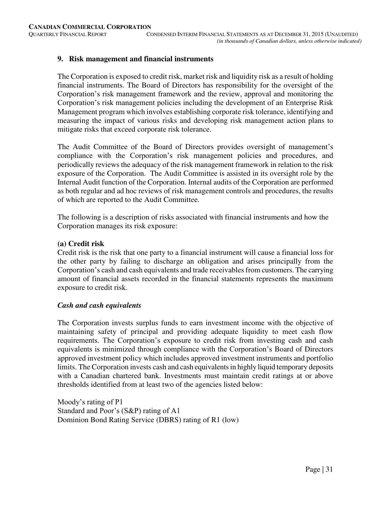# **9. Risk management and financial instruments**

The Corporation is exposed to credit risk, market risk and liquidity risk as a result of holding financial instruments. The Board of Directors has responsibility for the oversight of the Corporation's risk management framework and the review, approval and monitoring the Corporation's risk management policies including the development of an Enterprise Risk Management program which involves establishing corporate risk tolerance, identifying and measuring the impact of various risks and developing risk management action plans to mitigate risks that exceed corporate risk tolerance.

The Audit Committee of the Board of Directors provides oversight of management's compliance with the Corporation's risk management policies and procedures, and periodically reviews the adequacy of the risk management framework in relation to the risk exposure of the Corporation. The Audit Committee is assisted in its oversight role by the Internal Audit function of the Corporation. Internal audits of the Corporation are performed as both regular and ad hoc reviews of risk management controls and procedures, the results of which are reported to the Audit Committee.

The following is a description of risks associated with financial instruments and how the Corporation manages its risk exposure:

#### **(a) Credit risk**

Credit risk is the risk that one party to a financial instrument will cause a financial loss for the other party by failing to discharge an obligation and arises principally from the Corporation's cash and cash equivalents and trade receivables from customers. The carrying amount of financial assets recorded in the financial statements represents the maximum exposure to credit risk.

#### *Cash and cash equivalents*

The Corporation invests surplus funds to earn investment income with the objective of maintaining safety of principal and providing adequate liquidity to meet cash flow requirements. The Corporation's exposure to credit risk from investing cash and cash equivalents is minimized through compliance with the Corporation's Board of Directors approved investment policy which includes approved investment instruments and portfolio limits. The Corporation invests cash and cash equivalents in highly liquid temporary deposits with a Canadian chartered bank. Investments must maintain credit ratings at or above thresholds identified from at least two of the agencies listed below:

Moody's rating of P1 Standard and Poor's (S&P) rating of A1 Dominion Bond Rating Service (DBRS) rating of R1 (low)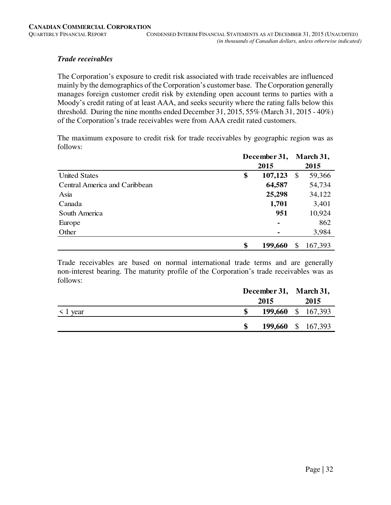# *Trade receivables*

The Corporation's exposure to credit risk associated with trade receivables are influenced mainly by the demographics of the Corporation's customer base. The Corporation generally manages foreign customer credit risk by extending open account terms to parties with a Moody's credit rating of at least AAA, and seeks security where the rating falls below this threshold. During the nine months ended December 31, 2015, 55% (March 31, 2015 - 40%) of the Corporation's trade receivables were from AAA credit rated customers.

The maximum exposure to credit risk for trade receivables by geographic region was as follows:

|                               | December 31,  |          | March 31, |
|-------------------------------|---------------|----------|-----------|
|                               | 2015          |          | 2015      |
| <b>United States</b>          | \$<br>107,123 | <b>S</b> | 59,366    |
| Central America and Caribbean | 64,587        |          | 54,734    |
| Asia                          | 25,298        |          | 34,122    |
| Canada                        | 1,701         |          | 3,401     |
| South America                 | 951           |          | 10,924    |
| Europe                        | ٠             |          | 862       |
| Other                         |               |          | 3,984     |
|                               | \$<br>199,660 | S        | 167,393   |

Trade receivables are based on normal international trade terms and are generally non-interest bearing. The maturity profile of the Corporation's trade receivables was as follows:

|               |                    |                    | December 31, March 31, |      |  |
|---------------|--------------------|--------------------|------------------------|------|--|
|               |                    | 2015               |                        | 2015 |  |
| $\leq 1$ year | 199,660 \$ 167,393 |                    |                        |      |  |
|               |                    | 199,660 \$ 167,393 |                        |      |  |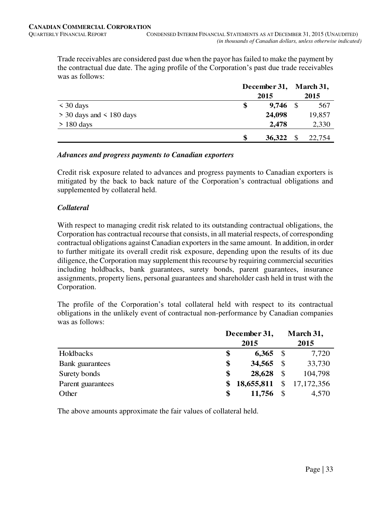Trade receivables are considered past due when the payor has failed to make the payment by the contractual due date. The aging profile of the Corporation's past due trade receivables was as follows: **March 31,** 

|                              |     | December 31, March 31, |          |        |
|------------------------------|-----|------------------------|----------|--------|
|                              |     | 2015                   |          | 2015   |
| $\leq 30$ days               | \$  | $9,746$ \$             |          | 567    |
| $>$ 30 days and $<$ 180 days |     | 24,098                 |          | 19,857 |
| $> 180$ days                 |     | 2,478                  |          | 2,330  |
|                              | \$. | 36,322                 | <b>S</b> | 22,754 |

# *Advances and progress payments to Canadian exporters*

Credit risk exposure related to advances and progress payments to Canadian exporters is mitigated by the back to back nature of the Corporation's contractual obligations and supplemented by collateral held.

#### *Collateral*

With respect to managing credit risk related to its outstanding contractual obligations, the Corporation has contractual recourse that consists, in all material respects, of corresponding contractual obligations against Canadian exporters in the same amount. In addition, in order to further mitigate its overall credit risk exposure, depending upon the results of its due diligence, the Corporation may supplement this recourse by requiring commercial securities including holdbacks, bank guarantees, surety bonds, parent guarantees, insurance assignments, property liens, personal guarantees and shareholder cash held in trust with the Corporation.

The profile of the Corporation's total collateral held with respect to its contractual obligations in the unlikely event of contractual non-performance by Canadian companies was as follows:

|                   | December 31,     |               | March 31,    |
|-------------------|------------------|---------------|--------------|
|                   | 2015             |               | 2015         |
| Holdbacks         | \$<br>6,365      | $\mathcal{S}$ | 7,720        |
| Bank guarantees   | \$<br>34,565     | -S            | 33,730       |
| Surety bonds      | \$<br>28,628     | $\mathbb{S}$  | 104,798      |
| Parent guarantees | \$<br>18,655,811 |               | \$17,172,356 |
| Other             | \$<br>11,756     |               | 4,570        |

The above amounts approximate the fair values of collateral held.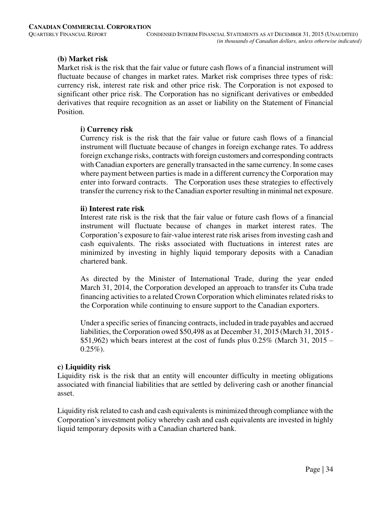# **(b) Market risk**

Market risk is the risk that the fair value or future cash flows of a financial instrument will fluctuate because of changes in market rates. Market risk comprises three types of risk: currency risk, interest rate risk and other price risk. The Corporation is not exposed to significant other price risk. The Corporation has no significant derivatives or embedded derivatives that require recognition as an asset or liability on the Statement of Financial Position.

# **i) Currency risk**

Currency risk is the risk that the fair value or future cash flows of a financial instrument will fluctuate because of changes in foreign exchange rates. To address foreign exchange risks, contracts with foreign customers and corresponding contracts with Canadian exporters are generally transacted in the same currency. In some cases where payment between parties is made in a different currency the Corporation may enter into forward contracts. The Corporation uses these strategies to effectively transfer the currency risk to the Canadian exporter resulting in minimal net exposure.

# **ii) Interest rate risk**

Interest rate risk is the risk that the fair value or future cash flows of a financial instrument will fluctuate because of changes in market interest rates. The Corporation's exposure to fair-value interest rate risk arises from investing cash and cash equivalents. The risks associated with fluctuations in interest rates are minimized by investing in highly liquid temporary deposits with a Canadian chartered bank.

As directed by the Minister of International Trade, during the year ended March 31, 2014, the Corporation developed an approach to transfer its Cuba trade financing activities to a related Crown Corporation which eliminates related risks to the Corporation while continuing to ensure support to the Canadian exporters.

 Under a specific series of financing contracts, included in trade payables and accrued liabilities, the Corporation owed \$50,498 as at December 31, 2015 (March 31, 2015 - \$51,962) which bears interest at the cost of funds plus  $0.25\%$  (March 31, 2015 –  $0.25\%$ ).

# **c) Liquidity risk**

Liquidity risk is the risk that an entity will encounter difficulty in meeting obligations associated with financial liabilities that are settled by delivering cash or another financial asset.

Liquidity risk related to cash and cash equivalents is minimized through compliance with the Corporation's investment policy whereby cash and cash equivalents are invested in highly liquid temporary deposits with a Canadian chartered bank.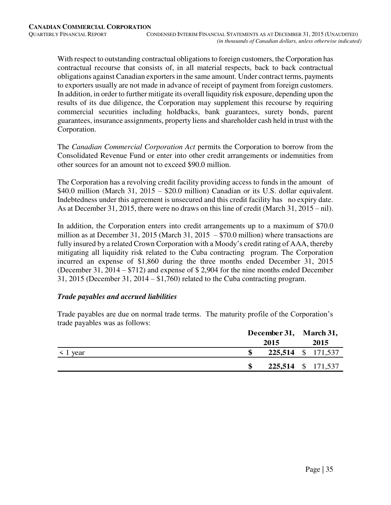With respect to outstanding contractual obligations to foreign customers, the Corporation has contractual recourse that consists of, in all material respects, back to back contractual obligations against Canadian exporters in the same amount. Under contract terms, payments to exporters usually are not made in advance of receipt of payment from foreign customers. In addition, in order to further mitigate its overall liquidity risk exposure, depending upon the results of its due diligence, the Corporation may supplement this recourse by requiring commercial securities including holdbacks, bank guarantees, surety bonds, parent guarantees, insurance assignments, property liens and shareholder cash held in trust with the Corporation.

The *Canadian Commercial Corporation Act* permits the Corporation to borrow from the Consolidated Revenue Fund or enter into other credit arrangements or indemnities from other sources for an amount not to exceed \$90.0 million.

The Corporation has a revolving credit facility providing access to funds in the amount of \$40.0 million (March 31, 2015 – \$20.0 million) Canadian or its U.S. dollar equivalent. Indebtedness under this agreement is unsecured and this credit facility has no expiry date. As at December 31, 2015, there were no draws on this line of credit (March 31, 2015 – nil).

In addition, the Corporation enters into credit arrangements up to a maximum of \$70.0 million as at December 31, 2015 (March 31, 2015  $-$  \$70.0 million) where transactions are fully insured by a related Crown Corporation with a Moody's credit rating of AAA, thereby mitigating all liquidity risk related to the Cuba contracting program. The Corporation incurred an expense of \$1,860 during the three months ended December 31, 2015 (December 31, 2014 – \$712) and expense of \$ 2,904 for the nine months ended December 31, 2015 (December 31, 2014 – \$1,760) related to the Cuba contracting program.

# *Trade payables and accrued liabilities*

Trade payables are due on normal trade terms. The maturity profile of the Corporation's trade payables was as follows:

|               | December 31, March 31, |      |
|---------------|------------------------|------|
|               | 2015                   | 2015 |
| $\leq 1$ year | 225,514 \$ 171,537     |      |
|               | 225,514 \$ 171,537     |      |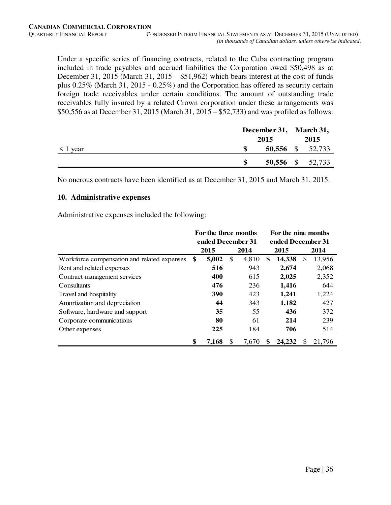Under a specific series of financing contracts, related to the Cuba contracting program included in trade payables and accrued liabilities the Corporation owed \$50,498 as at December 31, 2015 (March 31, 2015 – \$51,962) which bears interest at the cost of funds plus 0.25% (March 31, 2015 - 0.25%) and the Corporation has offered as security certain foreign trade receivables under certain conditions. The amount of outstanding trade receivables fully insured by a related Crown corporation under these arrangements was \$50,556 as at December 31, 2015 (March 31, 2015 – \$52,733) and was profiled as follows:

|   | 2015 |                                      |
|---|------|--------------------------------------|
|   |      | 2015                                 |
| S |      |                                      |
| S |      |                                      |
|   |      | 50,556 \$ 52,733<br>50,556 \$ 52,733 |

No onerous contracts have been identified as at December 31, 2015 and March 31, 2015.

#### **10. Administrative expenses**

Administrative expenses included the following:

|                                             | For the three months |     |       | For the nine months |    |        |
|---------------------------------------------|----------------------|-----|-------|---------------------|----|--------|
|                                             | ended December 31    |     |       | ended December 31   |    |        |
|                                             | 2015                 |     | 2014  | 2015                |    | 2014   |
| Workforce compensation and related expenses | \$<br>5,002          | \$  | 4,810 | \$<br>14,338        | \$ | 13,956 |
| Rent and related expenses                   | 516                  |     | 943   | 2,674               |    | 2,068  |
| Contract management services                | 400                  |     | 615   | 2,025               |    | 2,352  |
| Consultants                                 | 476                  |     | 236   | 1,416               |    | 644    |
| Travel and hospitality                      | 390                  |     | 423   | 1,241               |    | 1,224  |
| Amortization and depreciation               | 44                   |     | 343   | 1,182               |    | 427    |
| Software, hardware and support              | 35                   |     | 55    | 436                 |    | 372    |
| Corporate communications                    | 80                   |     | 61    | 214                 |    | 239    |
| Other expenses                              | 225                  |     | 184   | 706                 |    | 514    |
|                                             | \$<br>7.168          | \$. | 7.670 | \$<br>24,232        | S  | 21.796 |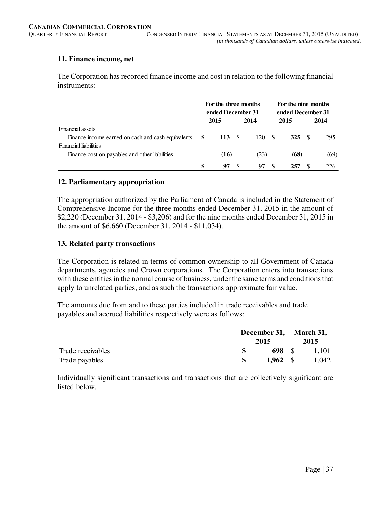# **11. Finance income, net**

The Corporation has recorded finance income and cost in relation to the following financial instruments:

|                                                  | For the three months<br>ended December 31 |        |  |      |            | For the nine months<br>ended December 31 |      |  |
|--------------------------------------------------|-------------------------------------------|--------|--|------|------------|------------------------------------------|------|--|
|                                                  |                                           | 2015   |  | 2014 | 2015       |                                          | 2014 |  |
| Financial assets                                 |                                           |        |  |      |            |                                          |      |  |
|                                                  |                                           | 113 \$ |  | 120S | <b>325</b> | -S                                       | 295  |  |
| <b>Financial liabilities</b>                     |                                           |        |  |      |            |                                          |      |  |
| - Finance cost on payables and other liabilities |                                           | (16)   |  | (23) | (68)       |                                          | (69) |  |
|                                                  |                                           | 97     |  |      | 257        |                                          | 226  |  |

# **12. Parliamentary appropriation**

The appropriation authorized by the Parliament of Canada is included in the Statement of Comprehensive Income for the three months ended December 31, 2015 in the amount of \$2,220 (December 31, 2014 - \$3,206) and for the nine months ended December 31, 2015 in the amount of \$6,660 (December 31, 2014 - \$11,034).

# **13. Related party transactions**

The Corporation is related in terms of common ownership to all Government of Canada departments, agencies and Crown corporations. The Corporation enters into transactions with these entities in the normal course of business, under the same terms and conditions that apply to unrelated parties, and as such the transactions approximate fair value.

The amounts due from and to these parties included in trade receivables and trade payables and accrued liabilities respectively were as follows:

|                   |  | December 31, March 31,<br>2015 |  |       |
|-------------------|--|--------------------------------|--|-------|
| Trade receivables |  | 698 \$                         |  | 1.101 |
| Trade payables    |  | $1,962 \quad$ \$               |  | 1.042 |

Individually significant transactions and transactions that are collectively significant are listed below.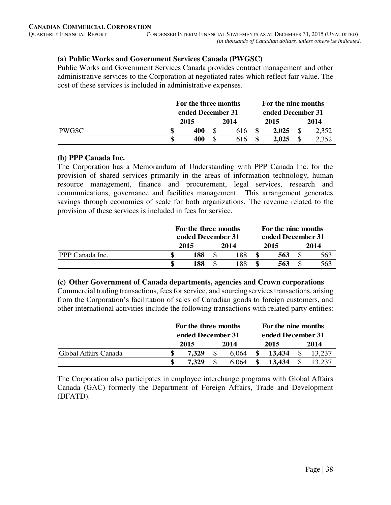# **(a) Public Works and Government Services Canada (PWGSC)**

Public Works and Government Services Canada provides contract management and other administrative services to the Corporation at negotiated rates which reflect fair value. The cost of these services is included in administrative expenses.

|              | For the three months |                   |    | For the nine months |                   |       |  |       |  |
|--------------|----------------------|-------------------|----|---------------------|-------------------|-------|--|-------|--|
|              |                      | ended December 31 |    |                     | ended December 31 |       |  |       |  |
|              |                      | 2015              |    | 2014                |                   | 2015  |  | 2014  |  |
| <b>PWGSC</b> |                      | 400               |    | 616                 |                   | 2.025 |  | 2,352 |  |
|              |                      | 400               | \$ | 616                 | \$.               | 2,025 |  |       |  |

#### **(b) PPP Canada Inc.**

The Corporation has a Memorandum of Understanding with PPP Canada Inc. for the provision of shared services primarily in the areas of information technology, human resource management, finance and procurement, legal services, research and communications, governance and facilities management. This arrangement generates savings through economies of scale for both organizations. The revenue related to the provision of these services is included in fees for service.

|                 | For the three months<br>ended December 31 |  |      | For the nine months<br>ended December 31 |      |
|-----------------|-------------------------------------------|--|------|------------------------------------------|------|
|                 | 2015                                      |  | 2014 | 2015                                     | 2014 |
| PPP Canada Inc. | 188                                       |  | .88  | 563                                      | 563  |
|                 | 188                                       |  | -88  | 563                                      | 563  |

# **(c) Other Government of Canada departments, agencies and Crown corporations**

Commercial trading transactions, fees for service, and sourcing services transactions, arising from the Corporation's facilitation of sales of Canadian goods to foreign customers, and other international activities include the following transactions with related party entities:

|                       | For the three months<br>ended December 31 |       |  | For the nine months |  |                   |  |        |
|-----------------------|-------------------------------------------|-------|--|---------------------|--|-------------------|--|--------|
|                       |                                           |       |  |                     |  | ended December 31 |  |        |
|                       |                                           | 2015  |  | 2014                |  | 2015              |  | 2014   |
| Global Affairs Canada |                                           | 7.329 |  | 6.064               |  | 13.434            |  | 13.237 |
|                       |                                           | 7.329 |  | 6.064               |  | 13.434            |  | 13.237 |

The Corporation also participates in employee interchange programs with Global Affairs Canada (GAC) formerly the Department of Foreign Affairs, Trade and Development (DFATD).